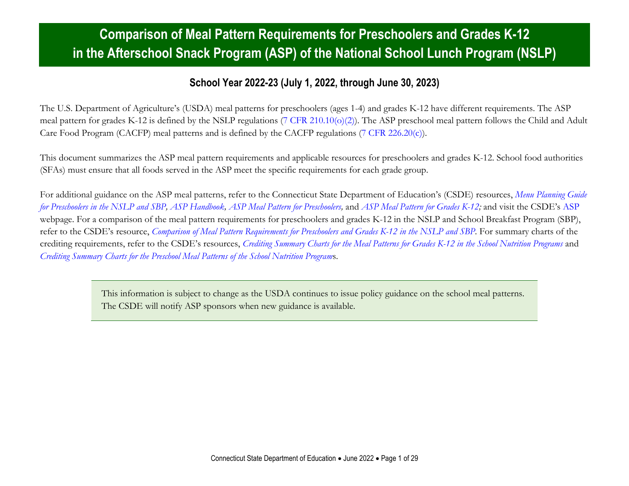#### **Comparison of Meal Pattern Requirements for Preschoolers and Grades K-12 in the Afterschool Snack Program (ASP) of the National School Lunch Program (NSLP)**

#### **School Year 2022-23 (July 1, 2022, through June 30, 2023)**

The U.S. Department of Agriculture's (USDA) meal patterns for preschoolers (ages 1-4) and grades K-12 have different requirements. The ASP meal pattern for grades K-12 is defined by the NSLP regulations (7 CFR [210.10\(o\)\(2\)\)](https://www.ecfr.gov/cgi-bin/text-idx?SID=4c211a738d6109939c6054a6286ac109&mc=true&node=pt7.4.210&rgn=div5s#se7.4.210_110). The ASP preschool meal pattern follows the Child and Adult Care Food Program (CACFP) meal patterns and is defined by the CACFP regulations [\(7 CFR 226.20\(c\)\)](https://www.ecfr.gov/current/title-7/subtitle-B/chapter-II/subchapter-A/part-226#p-226.20(c)).

This document summarizes the ASP meal pattern requirements and applicable resources for preschoolers and grades K-12. School food authorities (SFAs) must ensure that all foods served in the ASP meet the specific requirements for each grade group.

For additional guidance on the ASP meal patterns, refer to the Connecticut State Department of Education's (CSDE) resources, *[Menu Planning Guide](https://portal.ct.gov/-/media/SDE/Nutrition/NSLP/Preschool/MPGpreschool.pdf)  for Preschoolers [in the NSLP and SBP,](https://portal.ct.gov/-/media/SDE/Nutrition/NSLP/Preschool/MPGpreschool.pdf) [ASP Handbook,](https://portal.ct.gov/-/media/SDE/Nutrition/ASP/ASP_Handbook.pdf) [ASP Meal Pattern for Preschoolers,](https://portal.ct.gov/-/media/SDE/Nutrition/ASP/Meal_Pattern_ASP_Preschool.pdf)* and *[ASP Meal Pattern for Grades K-12;](https://portal.ct.gov/-/media/SDE/Nutrition/ASP/Meal_Pattern_ASP_grades_K-12.pdf)* and visit the CSDE's [ASP](https://portal.ct.gov/SDE/Nutrition/Afterschool-Snack-Program) webpage. For a comparison of the meal pattern requirements for preschoolers and grades K-12 in the NSLP and School Breakfast Program (SBP), refer to the CSDE's resource, *[Comparison of Meal Pattern Requirements for Preschoolers and](https://portal.ct.gov/-/media/SDE/Nutrition/NSLP/Preschool/Comparison_Preschool_Grades_K-12_SNP.pdf) Grades K-12 in the NSLP and SBP*. For summary charts of the crediting requirements, refer to the CSDE's resources, *[Crediting Summary Charts for the Meal Patterns for Grades K-12 in the School Nutrition Programs](https://portal.ct.gov/-/media/SDE/Nutrition/NSLP/Crediting/Crediting_Summary_Charts_SNP_Grades_K-12.pdf)* and *[Crediting Summary Charts for the Preschool Meal Patterns of the School Nutrition Program](https://portal.ct.gov/-/media/SDE/Nutrition/CACFP/Crediting/Crediting_Summary_Charts_SNP_Preschool.pdf)*s.

> This information is subject to change as the USDA continues to issue policy guidance on the school meal patterns. The CSDE will notify ASP sponsors when new guidance is available.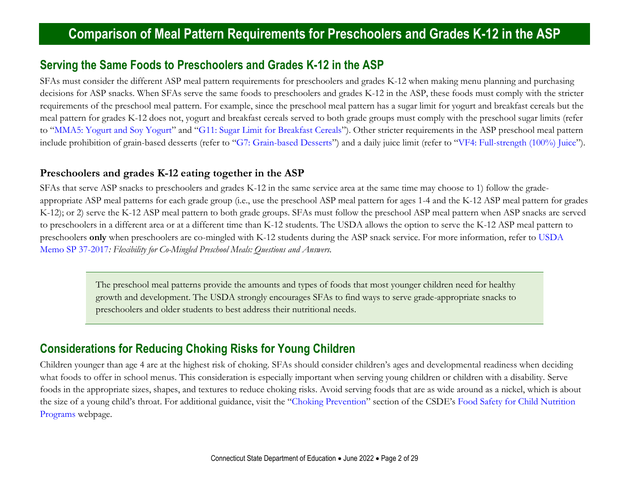#### **Serving the Same Foods to Preschoolers and Grades K-12 in the ASP**

SFAs must consider the different ASP meal pattern requirements for preschoolers and grades K-12 when making menu planning and purchasing decisions for ASP snacks. When SFAs serve the same foods to preschoolers and grades K-12 in the ASP, these foods must comply with the stricter requirements of the preschool meal pattern. For example, since the preschool meal pattern has a sugar limit for yogurt and breakfast cereals but the meal pattern for grades K-12 does not, yogurt and breakfast cereals served to both grade groups must comply with the preschool sugar limits (refer to "[MMA5: Yogurt and Soy Yogurt](#page-8-0)" and "[G11: Sugar Limit for Breakfast Cereals](#page-23-0)"). Other stricter requirements in the ASP preschool meal pattern include prohibition of grain-based desserts (refer to "[G7: Grain-based Desserts](#page-20-0)") and a daily juice limit (refer to "[VF4: Full-strength \(100%\) Juice](#page-11-0)").

#### <span id="page-1-0"></span>**Preschoolers and grades K-12 eating together in the ASP**

SFAs that serve ASP snacks to preschoolers and grades K-12 in the same service area at the same time may choose to 1) follow the gradeappropriate ASP meal patterns for each grade group (i.e., use the preschool ASP meal pattern for ages 1-4 and the K-12 ASP meal pattern for grades K-12); or 2) serve the K-12 ASP meal pattern to both grade groups. SFAs must follow the preschool ASP meal pattern when ASP snacks are served to preschoolers in a different area or at a different time than K-12 students. The USDA allows the option to serve the K-12 ASP meal pattern to preschoolers **only** when preschoolers are co-mingled with K-12 students during the ASP snack service. For more information, refer to [USDA](https://www.fns.usda.gov/school-meals/flexibility-co-mingled-preschool-meals-questions-and-answers)  [Memo SP 37-2017](https://www.fns.usda.gov/school-meals/flexibility-co-mingled-preschool-meals-questions-and-answers)*: Flexibility for Co-Mingled Preschool Meals: Questions and Answers.*

The preschool meal patterns provide the amounts and types of foods that most younger children need for healthy growth and development. The USDA strongly encourages SFAs to find ways to serve grade-appropriate snacks to preschoolers and older students to best address their nutritional needs.

#### **Considerations for Reducing Choking Risks for Young Children**

Children younger than age 4 are at the highest risk of choking. SFAs should consider children's ages and developmental readiness when deciding what foods to offer in school menus. This consideration is especially important when serving young children or children with a disability. Serve foods in the appropriate sizes, shapes, and textures to reduce choking risks. Avoid serving foods that are as wide around as a nickel, which is about the size of a young child's throat. For additional guidance, visit the "[Choking Prevention](https://portal.ct.gov/SDE/Nutrition/Food-Safety-for-Child-Nutrition-Programs/Documents#ChokingPrevention)" section of the CSDE's [Food Safety for Child Nutrition](https://portal.ct.gov/SDE/Nutrition/Food-Safety-for-Child-Nutrition-Programs)  [Programs](https://portal.ct.gov/SDE/Nutrition/Food-Safety-for-Child-Nutrition-Programs) webpage.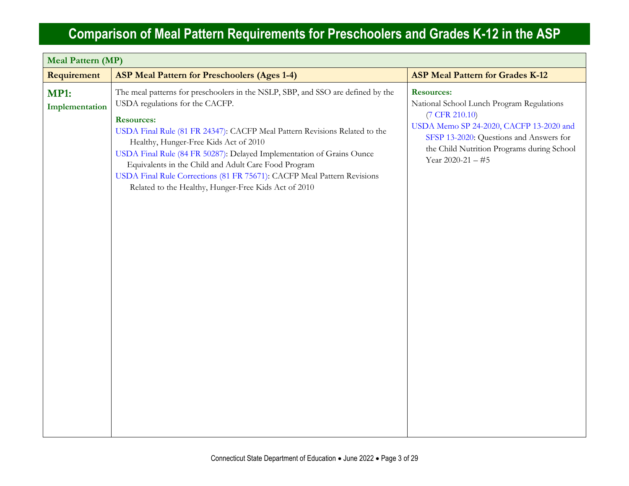| <b>Meal Pattern (MP)</b>      |                                                                                                                                                                                                                                                                                                                                                                                                                                                                                                                                    |                                                                                                                                                                                                                                                      |  |
|-------------------------------|------------------------------------------------------------------------------------------------------------------------------------------------------------------------------------------------------------------------------------------------------------------------------------------------------------------------------------------------------------------------------------------------------------------------------------------------------------------------------------------------------------------------------------|------------------------------------------------------------------------------------------------------------------------------------------------------------------------------------------------------------------------------------------------------|--|
| Requirement                   | <b>ASP Meal Pattern for Preschoolers (Ages 1-4)</b>                                                                                                                                                                                                                                                                                                                                                                                                                                                                                | <b>ASP Meal Pattern for Grades K-12</b>                                                                                                                                                                                                              |  |
| <b>MP1:</b><br>Implementation | The meal patterns for preschoolers in the NSLP, SBP, and SSO are defined by the<br>USDA regulations for the CACFP.<br><b>Resources:</b><br>USDA Final Rule (81 FR 24347): CACFP Meal Pattern Revisions Related to the<br>Healthy, Hunger-Free Kids Act of 2010<br>USDA Final Rule (84 FR 50287): Delayed Implementation of Grains Ounce<br>Equivalents in the Child and Adult Care Food Program<br>USDA Final Rule Corrections (81 FR 75671): CACFP Meal Pattern Revisions<br>Related to the Healthy, Hunger-Free Kids Act of 2010 | <b>Resources:</b><br>National School Lunch Program Regulations<br>$(7 \text{ CFR } 210.10)$<br>USDA Memo SP 24-2020, CACFP 13-2020 and<br>SFSP 13-2020: Questions and Answers for<br>the Child Nutrition Programs during School<br>Year 2020-21 - #5 |  |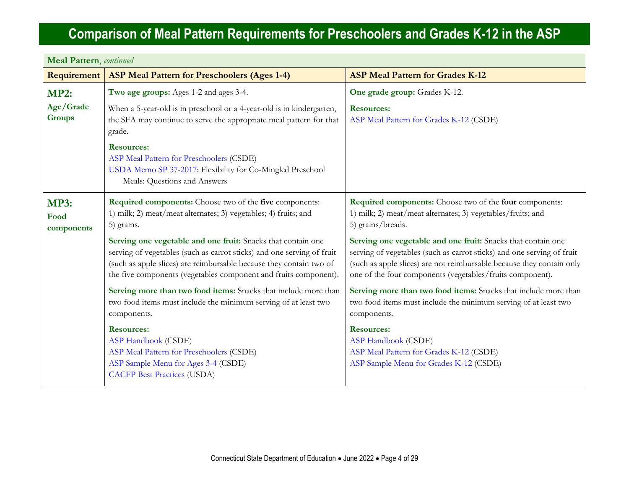| <b>Meal Pattern</b> , continued   |                                                                                                                                                                                                                                                                                   |                                                                                                                                                                                                                                                                              |
|-----------------------------------|-----------------------------------------------------------------------------------------------------------------------------------------------------------------------------------------------------------------------------------------------------------------------------------|------------------------------------------------------------------------------------------------------------------------------------------------------------------------------------------------------------------------------------------------------------------------------|
| Requirement                       | <b>ASP Meal Pattern for Preschoolers (Ages 1-4)</b>                                                                                                                                                                                                                               | <b>ASP Meal Pattern for Grades K-12</b>                                                                                                                                                                                                                                      |
| <b>MP2:</b>                       | Two age groups: Ages 1-2 and ages 3-4.                                                                                                                                                                                                                                            | One grade group: Grades K-12.                                                                                                                                                                                                                                                |
| Age/Grade<br><b>Groups</b>        | When a 5-year-old is in preschool or a 4-year-old is in kindergarten,<br>the SFA may continue to serve the appropriate meal pattern for that<br>grade.                                                                                                                            | <b>Resources:</b><br>ASP Meal Pattern for Grades K-12 (CSDE)                                                                                                                                                                                                                 |
|                                   | <b>Resources:</b><br>ASP Meal Pattern for Preschoolers (CSDE)<br>USDA Memo SP 37-2017: Flexibility for Co-Mingled Preschool<br>Meals: Questions and Answers                                                                                                                       |                                                                                                                                                                                                                                                                              |
| <b>MP3:</b><br>Food<br>components | <b>Required components:</b> Choose two of the five components:<br>1) milk; 2) meat/meat alternates; 3) vegetables; 4) fruits; and<br>5) grains.                                                                                                                                   | Required components: Choose two of the four components:<br>1) milk; 2) meat/meat alternates; 3) vegetables/fruits; and<br>5) grains/breads.                                                                                                                                  |
|                                   | Serving one vegetable and one fruit: Snacks that contain one<br>serving of vegetables (such as carrot sticks) and one serving of fruit<br>(such as apple slices) are reimbursable because they contain two of<br>the five components (vegetables component and fruits component). | Serving one vegetable and one fruit: Snacks that contain one<br>serving of vegetables (such as carrot sticks) and one serving of fruit<br>(such as apple slices) are not reimbursable because they contain only<br>one of the four components (vegetables/fruits component). |
|                                   | Serving more than two food items: Snacks that include more than<br>two food items must include the minimum serving of at least two<br>components.                                                                                                                                 | Serving more than two food items: Snacks that include more than<br>two food items must include the minimum serving of at least two<br>components.                                                                                                                            |
|                                   | <b>Resources:</b><br><b>ASP Handbook (CSDE)</b><br>ASP Meal Pattern for Preschoolers (CSDE)<br>ASP Sample Menu for Ages 3-4 (CSDE)<br><b>CACFP Best Practices (USDA)</b>                                                                                                          | <b>Resources:</b><br><b>ASP Handbook (CSDE)</b><br>ASP Meal Pattern for Grades K-12 (CSDE)<br>ASP Sample Menu for Grades K-12 (CSDE)                                                                                                                                         |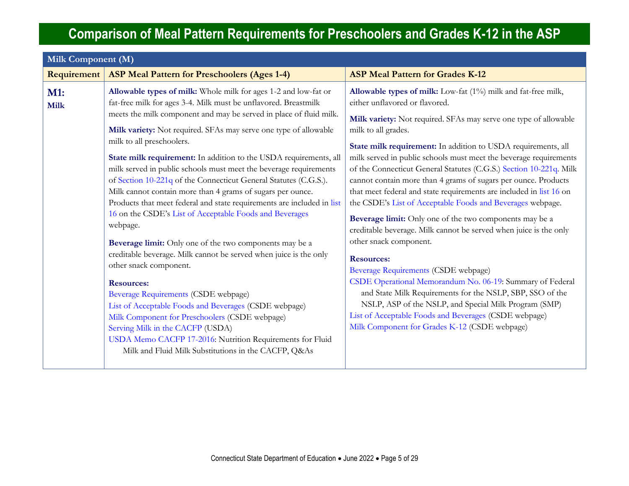| Milk Component (M) |                                                                                                                                                                                                                                                                                                                                                                                                                                                                                                                                                                                                                                                                                                                                                                                                                                                                                                                                                                                                                                                                                                                                                                                                                                   |                                                                                                                                                                                                                                                                                                                                                                                                                                                                                                                                                                                                                                                                                                                                                                                                                                                                                                                                                                                                                                                                                                                                   |
|--------------------|-----------------------------------------------------------------------------------------------------------------------------------------------------------------------------------------------------------------------------------------------------------------------------------------------------------------------------------------------------------------------------------------------------------------------------------------------------------------------------------------------------------------------------------------------------------------------------------------------------------------------------------------------------------------------------------------------------------------------------------------------------------------------------------------------------------------------------------------------------------------------------------------------------------------------------------------------------------------------------------------------------------------------------------------------------------------------------------------------------------------------------------------------------------------------------------------------------------------------------------|-----------------------------------------------------------------------------------------------------------------------------------------------------------------------------------------------------------------------------------------------------------------------------------------------------------------------------------------------------------------------------------------------------------------------------------------------------------------------------------------------------------------------------------------------------------------------------------------------------------------------------------------------------------------------------------------------------------------------------------------------------------------------------------------------------------------------------------------------------------------------------------------------------------------------------------------------------------------------------------------------------------------------------------------------------------------------------------------------------------------------------------|
| Requirement        | <b>ASP Meal Pattern for Preschoolers (Ages 1-4)</b>                                                                                                                                                                                                                                                                                                                                                                                                                                                                                                                                                                                                                                                                                                                                                                                                                                                                                                                                                                                                                                                                                                                                                                               | <b>ASP Meal Pattern for Grades K-12</b>                                                                                                                                                                                                                                                                                                                                                                                                                                                                                                                                                                                                                                                                                                                                                                                                                                                                                                                                                                                                                                                                                           |
| M1:<br><b>Milk</b> | Allowable types of milk: Whole milk for ages 1-2 and low-fat or<br>fat-free milk for ages 3-4. Milk must be unflavored. Breastmilk<br>meets the milk component and may be served in place of fluid milk.<br>Milk variety: Not required. SFAs may serve one type of allowable<br>milk to all preschoolers.<br>State milk requirement: In addition to the USDA requirements, all<br>milk served in public schools must meet the beverage requirements<br>of Section 10-221q of the Connecticut General Statutes (C.G.S.).<br>Milk cannot contain more than 4 grams of sugars per ounce.<br>Products that meet federal and state requirements are included in list<br>16 on the CSDE's List of Acceptable Foods and Beverages<br>webpage.<br>Beverage limit: Only one of the two components may be a<br>creditable beverage. Milk cannot be served when juice is the only<br>other snack component.<br><b>Resources:</b><br>Beverage Requirements (CSDE webpage)<br>List of Acceptable Foods and Beverages (CSDE webpage)<br>Milk Component for Preschoolers (CSDE webpage)<br>Serving Milk in the CACFP (USDA)<br>USDA Memo CACFP 17-2016: Nutrition Requirements for Fluid<br>Milk and Fluid Milk Substitutions in the CACFP, Q&As | Allowable types of milk: Low-fat (1%) milk and fat-free milk,<br>either unflavored or flavored.<br>Milk variety: Not required. SFAs may serve one type of allowable<br>milk to all grades.<br>State milk requirement: In addition to USDA requirements, all<br>milk served in public schools must meet the beverage requirements<br>of the Connecticut General Statutes (C.G.S.) Section 10-221q. Milk<br>cannot contain more than 4 grams of sugars per ounce. Products<br>that meet federal and state requirements are included in list 16 on<br>the CSDE's List of Acceptable Foods and Beverages webpage.<br>Beverage limit: Only one of the two components may be a<br>creditable beverage. Milk cannot be served when juice is the only<br>other snack component.<br><b>Resources:</b><br>Beverage Requirements (CSDE webpage)<br>CSDE Operational Memorandum No. 06-19: Summary of Federal<br>and State Milk Requirements for the NSLP, SBP, SSO of the<br>NSLP, ASP of the NSLP, and Special Milk Program (SMP)<br>List of Acceptable Foods and Beverages (CSDE webpage)<br>Milk Component for Grades K-12 (CSDE webpage) |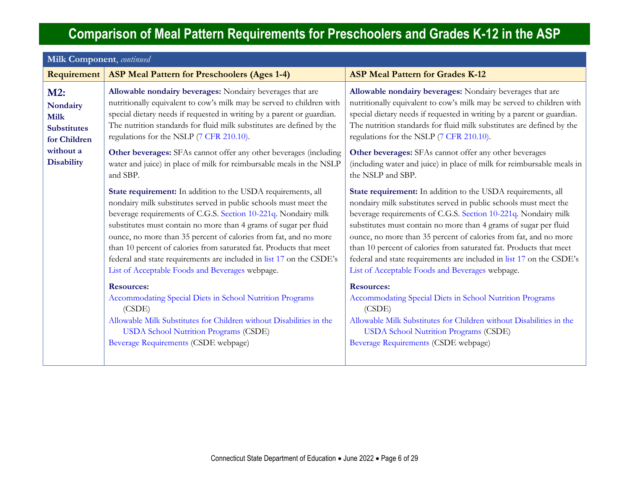| <b>Milk Component</b> , continued<br>Requirement                     | <b>ASP Meal Pattern for Preschoolers (Ages 1-4)</b>                                                                                                                                                                                                                                                                                                                                                                                                                                                                                         | <b>ASP Meal Pattern for Grades K-12</b>                                                                                                                                                                                                                                                                                                                                                                                                                                                                                                     |
|----------------------------------------------------------------------|---------------------------------------------------------------------------------------------------------------------------------------------------------------------------------------------------------------------------------------------------------------------------------------------------------------------------------------------------------------------------------------------------------------------------------------------------------------------------------------------------------------------------------------------|---------------------------------------------------------------------------------------------------------------------------------------------------------------------------------------------------------------------------------------------------------------------------------------------------------------------------------------------------------------------------------------------------------------------------------------------------------------------------------------------------------------------------------------------|
| M2:<br>Nondairy<br><b>Milk</b><br><b>Substitutes</b><br>for Children | Allowable nondairy beverages: Nondairy beverages that are<br>nutritionally equivalent to cow's milk may be served to children with<br>special dietary needs if requested in writing by a parent or guardian.<br>The nutrition standards for fluid milk substitutes are defined by the<br>regulations for the NSLP (7 CFR 210.10).                                                                                                                                                                                                           | Allowable nondairy beverages: Nondairy beverages that are<br>nutritionally equivalent to cow's milk may be served to children with<br>special dietary needs if requested in writing by a parent or guardian.<br>The nutrition standards for fluid milk substitutes are defined by the<br>regulations for the NSLP (7 CFR 210.10).                                                                                                                                                                                                           |
| without a<br><b>Disability</b>                                       | Other beverages: SFAs cannot offer any other beverages (including<br>water and juice) in place of milk for reimbursable meals in the NSLP<br>and SBP.                                                                                                                                                                                                                                                                                                                                                                                       | Other beverages: SFAs cannot offer any other beverages<br>(including water and juice) in place of milk for reimbursable meals in<br>the NSLP and SBP.                                                                                                                                                                                                                                                                                                                                                                                       |
|                                                                      | State requirement: In addition to the USDA requirements, all<br>nondairy milk substitutes served in public schools must meet the<br>beverage requirements of C.G.S. Section 10-221q. Nondairy milk<br>substitutes must contain no more than 4 grams of sugar per fluid<br>ounce, no more than 35 percent of calories from fat, and no more<br>than 10 percent of calories from saturated fat. Products that meet<br>federal and state requirements are included in list 17 on the CSDE's<br>List of Acceptable Foods and Beverages webpage. | State requirement: In addition to the USDA requirements, all<br>nondairy milk substitutes served in public schools must meet the<br>beverage requirements of C.G.S. Section 10-221q. Nondairy milk<br>substitutes must contain no more than 4 grams of sugar per fluid<br>ounce, no more than 35 percent of calories from fat, and no more<br>than 10 percent of calories from saturated fat. Products that meet<br>federal and state requirements are included in list 17 on the CSDE's<br>List of Acceptable Foods and Beverages webpage. |
|                                                                      | <b>Resources:</b><br>Accommodating Special Diets in School Nutrition Programs<br>(CSDE)<br>Allowable Milk Substitutes for Children without Disabilities in the<br><b>USDA School Nutrition Programs (CSDE)</b><br>Beverage Requirements (CSDE webpage)                                                                                                                                                                                                                                                                                      | <b>Resources:</b><br>Accommodating Special Diets in School Nutrition Programs<br>(CSDE)<br>Allowable Milk Substitutes for Children without Disabilities in the<br><b>USDA School Nutrition Programs (CSDE)</b><br>Beverage Requirements (CSDE webpage)                                                                                                                                                                                                                                                                                      |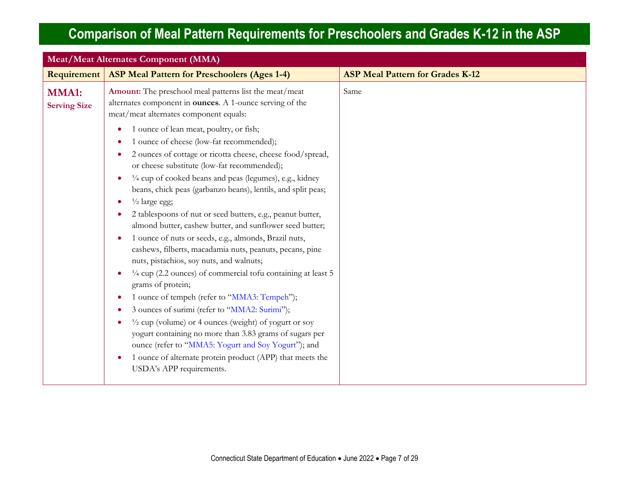| Requirement<br><b>ASP Meal Pattern for Preschoolers (Ages 1-4)</b><br><b>ASP Meal Pattern for Grades K-12</b><br>Amount: The preschool meal patterns list the meat/meat<br>Same<br><b>MMA1:</b><br>alternates component in <b>ounces</b> . A 1-ounce serving of the<br><b>Serving Size</b><br>meat/meat alternates component equals:<br>1 ounce of lean meat, poultry, or fish;<br>1 ounce of cheese (low-fat recommended);<br>2 ounces of cottage or ricotta cheese, cheese food/spread,<br>or cheese substitute (low-fat recommended);<br>1/4 cup of cooked beans and peas (legumes), e.g., kidney<br>$\bullet$<br>beans, chick peas (garbanzo beans), lentils, and split peas;<br>$\frac{1}{2}$ large egg;<br>$\bullet$<br>2 tablespoons of nut or seed butters, e.g., peanut butter,<br>almond butter, cashew butter, and sunflower seed butter;<br>1 ounce of nuts or seeds, e.g., almonds, Brazil nuts,<br>$\bullet$<br>cashews, filberts, macadamia nuts, peanuts, pecans, pine<br>nuts, pistachios, soy nuts, and walnuts;<br>$\frac{1}{4}$ cup (2.2 ounces) of commercial tofu containing at least 5<br>$\bullet$<br>grams of protein;<br>1 ounce of tempeh (refer to "MMA3: Tempeh");<br>$\bullet$<br>3 ounces of surimi (refer to "MMA2: Surimi");<br>$\frac{1}{2}$ cup (volume) or 4 ounces (weight) of yogurt or soy<br>٠<br>yogurt containing no more than 3.83 grams of sugars per<br>ounce (refer to "MMA5: Yogurt and Soy Yogurt"); and | <b>Meat/Meat Alternates Component (MMA)</b> |  |  |
|----------------------------------------------------------------------------------------------------------------------------------------------------------------------------------------------------------------------------------------------------------------------------------------------------------------------------------------------------------------------------------------------------------------------------------------------------------------------------------------------------------------------------------------------------------------------------------------------------------------------------------------------------------------------------------------------------------------------------------------------------------------------------------------------------------------------------------------------------------------------------------------------------------------------------------------------------------------------------------------------------------------------------------------------------------------------------------------------------------------------------------------------------------------------------------------------------------------------------------------------------------------------------------------------------------------------------------------------------------------------------------------------------------------------------------------------------------|---------------------------------------------|--|--|
|                                                                                                                                                                                                                                                                                                                                                                                                                                                                                                                                                                                                                                                                                                                                                                                                                                                                                                                                                                                                                                                                                                                                                                                                                                                                                                                                                                                                                                                          |                                             |  |  |
|                                                                                                                                                                                                                                                                                                                                                                                                                                                                                                                                                                                                                                                                                                                                                                                                                                                                                                                                                                                                                                                                                                                                                                                                                                                                                                                                                                                                                                                          |                                             |  |  |
| 1 ounce of alternate protein product (APP) that meets the<br>$\bullet$<br>USDA's APP requirements.                                                                                                                                                                                                                                                                                                                                                                                                                                                                                                                                                                                                                                                                                                                                                                                                                                                                                                                                                                                                                                                                                                                                                                                                                                                                                                                                                       |                                             |  |  |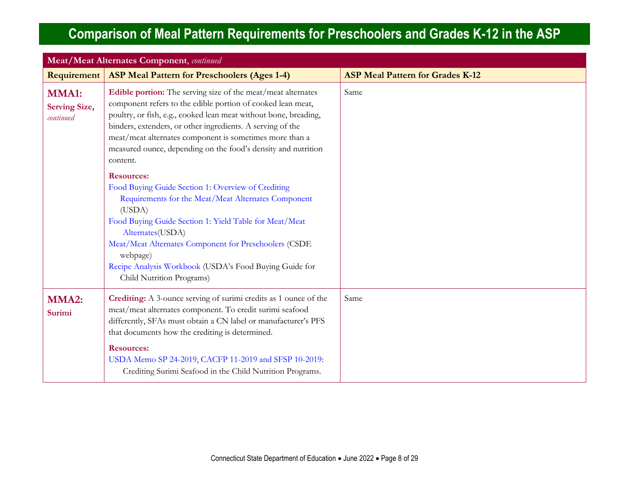<span id="page-7-0"></span>

| <b>Meat/Meat Alternates Component</b> , continued |                                                                                                                                                                                                                                                                                                                                                                                                       |                                         |
|---------------------------------------------------|-------------------------------------------------------------------------------------------------------------------------------------------------------------------------------------------------------------------------------------------------------------------------------------------------------------------------------------------------------------------------------------------------------|-----------------------------------------|
| Requirement                                       | <b>ASP Meal Pattern for Preschoolers (Ages 1-4)</b>                                                                                                                                                                                                                                                                                                                                                   | <b>ASP Meal Pattern for Grades K-12</b> |
| <b>MMA1:</b><br><b>Serving Size,</b><br>continued | Edible portion: The serving size of the meat/meat alternates<br>component refers to the edible portion of cooked lean meat,<br>poultry, or fish, e.g., cooked lean meat without bone, breading,<br>binders, extenders, or other ingredients. A serving of the<br>meat/meat alternates component is sometimes more than a<br>measured ounce, depending on the food's density and nutrition<br>content. | Same                                    |
|                                                   | <b>Resources:</b><br>Food Buying Guide Section 1: Overview of Crediting<br>Requirements for the Meat/Meat Alternates Component<br>(USDA)<br>Food Buying Guide Section 1: Yield Table for Meat/Meat<br>Alternates(USDA)<br>Meat/Meat Alternates Component for Preschoolers (CSDE<br>webpage)<br>Recipe Analysis Workbook (USDA's Food Buying Guide for<br>Child Nutrition Programs)                    |                                         |
| MMA2:<br>Surimi                                   | Crediting: A 3-ounce serving of surimi credits as 1 ounce of the<br>meat/meat alternates component. To credit surimi seafood<br>differently, SFAs must obtain a CN label or manufacturer's PFS<br>that documents how the crediting is determined.<br><b>Resources:</b><br>USDA Memo SP 24-2019, CACFP 11-2019 and SFSP 10-2019:<br>Crediting Surimi Seafood in the Child Nutrition Programs.          | Same                                    |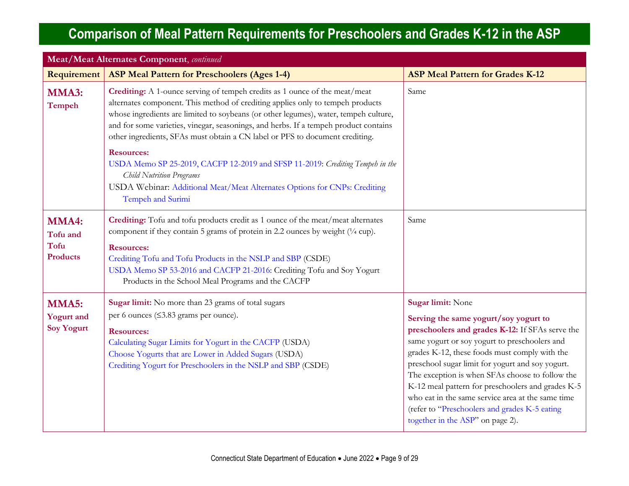<span id="page-8-1"></span><span id="page-8-0"></span>

| <b>Meat/Meat Alternates Component</b> , continued   |                                                                                                                                                                                                                                                                                                                                                                                                                              |                                                                                                                                                                                                                                                                                                                                                                                                                                                                                                                       |
|-----------------------------------------------------|------------------------------------------------------------------------------------------------------------------------------------------------------------------------------------------------------------------------------------------------------------------------------------------------------------------------------------------------------------------------------------------------------------------------------|-----------------------------------------------------------------------------------------------------------------------------------------------------------------------------------------------------------------------------------------------------------------------------------------------------------------------------------------------------------------------------------------------------------------------------------------------------------------------------------------------------------------------|
| Requirement                                         | <b>ASP Meal Pattern for Preschoolers (Ages 1-4)</b>                                                                                                                                                                                                                                                                                                                                                                          | <b>ASP Meal Pattern for Grades K-12</b>                                                                                                                                                                                                                                                                                                                                                                                                                                                                               |
| MMA3:<br>Tempeh                                     | Crediting: A 1-ounce serving of tempeh credits as 1 ounce of the meat/meat<br>alternates component. This method of crediting applies only to tempeh products<br>whose ingredients are limited to soybeans (or other legumes), water, tempeh culture,<br>and for some varieties, vinegar, seasonings, and herbs. If a tempeh product contains<br>other ingredients, SFAs must obtain a CN label or PFS to document crediting. | Same                                                                                                                                                                                                                                                                                                                                                                                                                                                                                                                  |
|                                                     | <b>Resources:</b><br>USDA Memo SP 25-2019, CACFP 12-2019 and SFSP 11-2019: Crediting Tempeh in the<br><b>Child Nutrition Programs</b><br>USDA Webinar: Additional Meat/Meat Alternates Options for CNPs: Crediting<br>Tempeh and Surimi                                                                                                                                                                                      |                                                                                                                                                                                                                                                                                                                                                                                                                                                                                                                       |
| MMA4:<br>Tofu and<br><b>Tofu</b><br><b>Products</b> | Crediting: Tofu and tofu products credit as 1 ounce of the meat/meat alternates<br>component if they contain 5 grams of protein in 2.2 ounces by weight $(1/4$ cup).<br><b>Resources:</b><br>Crediting Tofu and Tofu Products in the NSLP and SBP (CSDE)<br>USDA Memo SP 53-2016 and CACFP 21-2016: Crediting Tofu and Soy Yogurt<br>Products in the School Meal Programs and the CACFP                                      | Same                                                                                                                                                                                                                                                                                                                                                                                                                                                                                                                  |
| MMA5:<br><b>Yogurt</b> and<br><b>Soy Yogurt</b>     | Sugar limit: No more than 23 grams of total sugars<br>per 6 ounces (≤3.83 grams per ounce).<br><b>Resources:</b><br>Calculating Sugar Limits for Yogurt in the CACFP (USDA)<br>Choose Yogurts that are Lower in Added Sugars (USDA)<br>Crediting Yogurt for Preschoolers in the NSLP and SBP (CSDE)                                                                                                                          | Sugar limit: None<br>Serving the same yogurt/soy yogurt to<br>preschoolers and grades K-12: If SFAs serve the<br>same yogurt or soy yogurt to preschoolers and<br>grades K-12, these foods must comply with the<br>preschool sugar limit for yogurt and soy yogurt.<br>The exception is when SFAs choose to follow the<br>K-12 meal pattern for preschoolers and grades K-5<br>who eat in the same service area at the same time<br>(refer to "Preschoolers and grades K-5 eating<br>together in the ASP" on page 2). |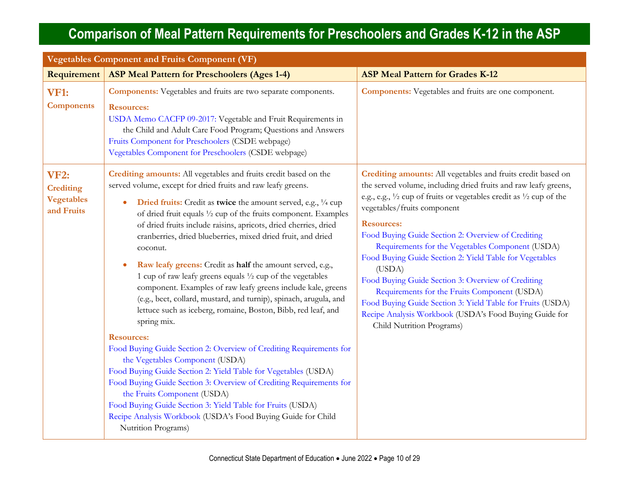| <b>Vegetables Component and Fruits Component (VF)</b>              |                                                                                                                                                                                                                                                                                                                                                                                                                                                                                                                                                                                                                                                                                                                                                                                                                                                                                                                                                                                                                                                                                                                                                                                                                                                             |                                                                                                                                                                                                                                                                                                                                                                                                                                                                                                                                                                                                                                                                                                       |  |
|--------------------------------------------------------------------|-------------------------------------------------------------------------------------------------------------------------------------------------------------------------------------------------------------------------------------------------------------------------------------------------------------------------------------------------------------------------------------------------------------------------------------------------------------------------------------------------------------------------------------------------------------------------------------------------------------------------------------------------------------------------------------------------------------------------------------------------------------------------------------------------------------------------------------------------------------------------------------------------------------------------------------------------------------------------------------------------------------------------------------------------------------------------------------------------------------------------------------------------------------------------------------------------------------------------------------------------------------|-------------------------------------------------------------------------------------------------------------------------------------------------------------------------------------------------------------------------------------------------------------------------------------------------------------------------------------------------------------------------------------------------------------------------------------------------------------------------------------------------------------------------------------------------------------------------------------------------------------------------------------------------------------------------------------------------------|--|
| Requirement                                                        | <b>ASP Meal Pattern for Preschoolers (Ages 1-4)</b>                                                                                                                                                                                                                                                                                                                                                                                                                                                                                                                                                                                                                                                                                                                                                                                                                                                                                                                                                                                                                                                                                                                                                                                                         | <b>ASP Meal Pattern for Grades K-12</b>                                                                                                                                                                                                                                                                                                                                                                                                                                                                                                                                                                                                                                                               |  |
| <b>VF1:</b><br><b>Components</b>                                   | <b>Components:</b> Vegetables and fruits are two separate components.<br><b>Resources:</b><br>USDA Memo CACFP 09-2017: Vegetable and Fruit Requirements in<br>the Child and Adult Care Food Program; Questions and Answers<br>Fruits Component for Preschoolers (CSDE webpage)<br>Vegetables Component for Preschoolers (CSDE webpage)                                                                                                                                                                                                                                                                                                                                                                                                                                                                                                                                                                                                                                                                                                                                                                                                                                                                                                                      | <b>Components:</b> Vegetables and fruits are one component.                                                                                                                                                                                                                                                                                                                                                                                                                                                                                                                                                                                                                                           |  |
| <b>VF2:</b><br><b>Crediting</b><br><b>Vegetables</b><br>and Fruits | Crediting amounts: All vegetables and fruits credit based on the<br>served volume, except for dried fruits and raw leafy greens.<br>Dried fruits: Credit as twice the amount served, e.g., 1/4 cup<br>$\bullet$<br>of dried fruit equals 1/2 cup of the fruits component. Examples<br>of dried fruits include raisins, apricots, dried cherries, dried<br>cranberries, dried blueberries, mixed dried fruit, and dried<br>coconut.<br>Raw leafy greens: Credit as half the amount served, e.g.,<br>$\bullet$<br>1 cup of raw leafy greens equals 1/2 cup of the vegetables<br>component. Examples of raw leafy greens include kale, greens<br>(e.g., beet, collard, mustard, and turnip), spinach, arugula, and<br>lettuce such as iceberg, romaine, Boston, Bibb, red leaf, and<br>spring mix.<br><b>Resources:</b><br>Food Buying Guide Section 2: Overview of Crediting Requirements for<br>the Vegetables Component (USDA)<br>Food Buying Guide Section 2: Yield Table for Vegetables (USDA)<br>Food Buying Guide Section 3: Overview of Crediting Requirements for<br>the Fruits Component (USDA)<br>Food Buying Guide Section 3: Yield Table for Fruits (USDA)<br>Recipe Analysis Workbook (USDA's Food Buying Guide for Child<br>Nutrition Programs) | Crediting amounts: All vegetables and fruits credit based on<br>the served volume, including dried fruits and raw leafy greens,<br>e.g., e.g., 1/2 cup of fruits or vegetables credit as 1/2 cup of the<br>vegetables/fruits component<br><b>Resources:</b><br>Food Buying Guide Section 2: Overview of Crediting<br>Requirements for the Vegetables Component (USDA)<br>Food Buying Guide Section 2: Yield Table for Vegetables<br>(USDA)<br>Food Buying Guide Section 3: Overview of Crediting<br>Requirements for the Fruits Component (USDA)<br>Food Buying Guide Section 3: Yield Table for Fruits (USDA)<br>Recipe Analysis Workbook (USDA's Food Buying Guide for<br>Child Nutrition Programs) |  |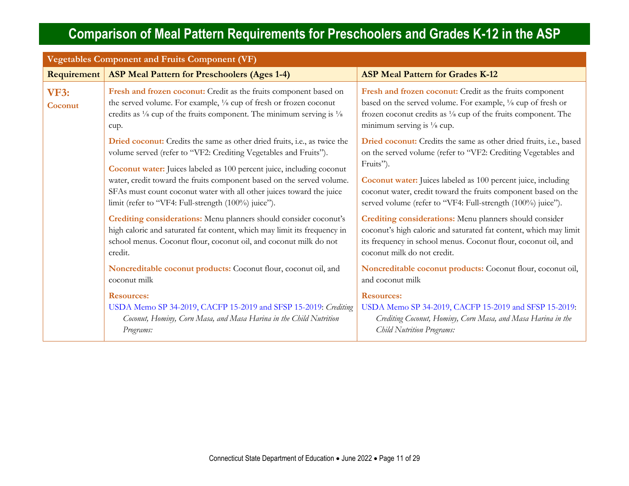| <b>Vegetables Component and Fruits Component (VF)</b> |                                                                                                                                                                                                                                               |                                                                                                                                                                                                                                     |  |
|-------------------------------------------------------|-----------------------------------------------------------------------------------------------------------------------------------------------------------------------------------------------------------------------------------------------|-------------------------------------------------------------------------------------------------------------------------------------------------------------------------------------------------------------------------------------|--|
| Requirement                                           | <b>ASP Meal Pattern for Preschoolers (Ages 1-4)</b>                                                                                                                                                                                           | <b>ASP Meal Pattern for Grades K-12</b>                                                                                                                                                                                             |  |
| <b>VF3:</b><br>Coconut                                | Fresh and frozen coconut: Credit as the fruits component based on<br>the served volume. For example, 1/8 cup of fresh or frozen coconut<br>credits as $\frac{1}{8}$ cup of the fruits component. The minimum serving is $\frac{1}{8}$<br>cup. | Fresh and frozen coconut: Credit as the fruits component<br>based on the served volume. For example, 1/8 cup of fresh or<br>frozen coconut credits as 1/8 cup of the fruits component. The<br>minimum serving is $\frac{1}{8}$ cup. |  |
|                                                       | Dried coconut: Credits the same as other dried fruits, i.e., as twice the<br>volume served (refer to "VF2: Crediting Vegetables and Fruits").<br>Coconut water: Juices labeled as 100 percent juice, including coconut                        | Dried coconut: Credits the same as other dried fruits, i.e., based<br>on the served volume (refer to "VF2: Crediting Vegetables and<br>Fruits").                                                                                    |  |
|                                                       | water, credit toward the fruits component based on the served volume.<br>SFAs must count coconut water with all other juices toward the juice<br>limit (refer to "VF4: Full-strength (100%) juice").                                          | <b>Coconut water:</b> Juices labeled as 100 percent juice, including<br>coconut water, credit toward the fruits component based on the<br>served volume (refer to "VF4: Full-strength (100%) juice").                               |  |
|                                                       | Crediting considerations: Menu planners should consider coconut's<br>high caloric and saturated fat content, which may limit its frequency in<br>school menus. Coconut flour, coconut oil, and coconut milk do not<br>credit.                 | Crediting considerations: Menu planners should consider<br>coconut's high caloric and saturated fat content, which may limit<br>its frequency in school menus. Coconut flour, coconut oil, and<br>coconut milk do not credit.       |  |
|                                                       | Noncreditable coconut products: Coconut flour, coconut oil, and<br>coconut milk                                                                                                                                                               | Noncreditable coconut products: Coconut flour, coconut oil,<br>and coconut milk                                                                                                                                                     |  |
|                                                       | <b>Resources:</b><br>USDA Memo SP 34-2019, CACFP 15-2019 and SFSP 15-2019: Crediting<br>Coconut, Hominy, Corn Masa, and Masa Harina in the Child Nutrition<br>Programs:                                                                       | <b>Resources:</b><br>USDA Memo SP 34-2019, CACFP 15-2019 and SFSP 15-2019:<br>Crediting Coconut, Hominy, Corn Masa, and Masa Harina in the<br><b>Child Nutrition Programs:</b>                                                      |  |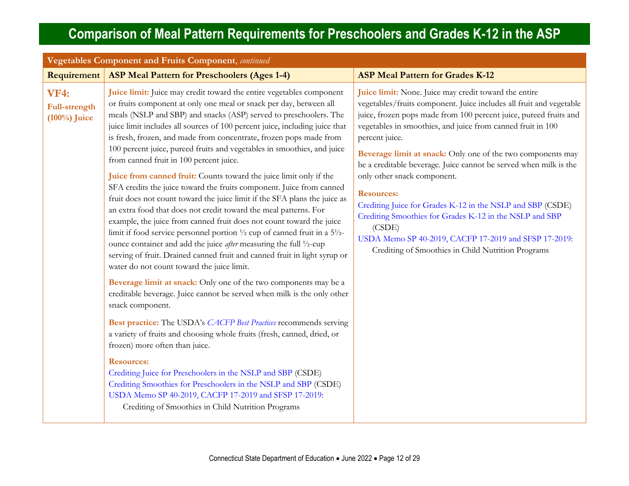<span id="page-11-0"></span>

| Vegetables Component and Fruits Component, continued   |                                                                                                                                                                                                                                                                                                                                                                                                                                                                                                                                                                                                                                                                                                                                                                                                                                                                                                                                                                                                                                                                                                                                                                                                                                                                                                                                                                                                                                                                                                                                                                                                                                                                                                                                                                                                         |                                                                                                                                                                                                                                                                                                                                                                                                                                                                                                                                                                                                                                                                                                                              |  |
|--------------------------------------------------------|---------------------------------------------------------------------------------------------------------------------------------------------------------------------------------------------------------------------------------------------------------------------------------------------------------------------------------------------------------------------------------------------------------------------------------------------------------------------------------------------------------------------------------------------------------------------------------------------------------------------------------------------------------------------------------------------------------------------------------------------------------------------------------------------------------------------------------------------------------------------------------------------------------------------------------------------------------------------------------------------------------------------------------------------------------------------------------------------------------------------------------------------------------------------------------------------------------------------------------------------------------------------------------------------------------------------------------------------------------------------------------------------------------------------------------------------------------------------------------------------------------------------------------------------------------------------------------------------------------------------------------------------------------------------------------------------------------------------------------------------------------------------------------------------------------|------------------------------------------------------------------------------------------------------------------------------------------------------------------------------------------------------------------------------------------------------------------------------------------------------------------------------------------------------------------------------------------------------------------------------------------------------------------------------------------------------------------------------------------------------------------------------------------------------------------------------------------------------------------------------------------------------------------------------|--|
| Requirement                                            | <b>ASP Meal Pattern for Preschoolers (Ages 1-4)</b>                                                                                                                                                                                                                                                                                                                                                                                                                                                                                                                                                                                                                                                                                                                                                                                                                                                                                                                                                                                                                                                                                                                                                                                                                                                                                                                                                                                                                                                                                                                                                                                                                                                                                                                                                     | <b>ASP Meal Pattern for Grades K-12</b>                                                                                                                                                                                                                                                                                                                                                                                                                                                                                                                                                                                                                                                                                      |  |
| <b>VF4:</b><br><b>Full-strength</b><br>$(100\%)$ Juice | Juice limit: Juice may credit toward the entire vegetables component<br>or fruits component at only one meal or snack per day, between all<br>meals (NSLP and SBP) and snacks (ASP) served to preschoolers. The<br>juice limit includes all sources of 100 percent juice, including juice that<br>is fresh, frozen, and made from concentrate, frozen pops made from<br>100 percent juice, pureed fruits and vegetables in smoothies, and juice<br>from canned fruit in 100 percent juice.<br>Juice from canned fruit: Counts toward the juice limit only if the<br>SFA credits the juice toward the fruits component. Juice from canned<br>fruit does not count toward the juice limit if the SFA plans the juice as<br>an extra food that does not credit toward the meal patterns. For<br>example, the juice from canned fruit does not count toward the juice<br>limit if food service personnel portion $\frac{1}{2}$ cup of canned fruit in a $5\frac{1}{2}$ -<br>ounce container and add the juice <i>after</i> measuring the full 1/2-cup<br>serving of fruit. Drained canned fruit and canned fruit in light syrup or<br>water do not count toward the juice limit.<br>Beverage limit at snack: Only one of the two components may be a<br>creditable beverage. Juice cannot be served when milk is the only other<br>snack component.<br>Best practice: The USDA's CACFP Best Practices recommends serving<br>a variety of fruits and choosing whole fruits (fresh, canned, dried, or<br>frozen) more often than juice.<br><b>Resources:</b><br>Crediting Juice for Preschoolers in the NSLP and SBP (CSDE)<br>Crediting Smoothies for Preschoolers in the NSLP and SBP (CSDE)<br>USDA Memo SP 40-2019, CACFP 17-2019 and SFSP 17-2019:<br>Crediting of Smoothies in Child Nutrition Programs | Juice limit: None. Juice may credit toward the entire<br>vegetables/fruits component. Juice includes all fruit and vegetable<br>juice, frozen pops made from 100 percent juice, pureed fruits and<br>vegetables in smoothies, and juice from canned fruit in 100<br>percent juice.<br>Beverage limit at snack: Only one of the two components may<br>be a creditable beverage. Juice cannot be served when milk is the<br>only other snack component.<br><b>Resources:</b><br>Crediting Juice for Grades K-12 in the NSLP and SBP (CSDE)<br>Crediting Smoothies for Grades K-12 in the NSLP and SBP<br>(CSDE)<br>USDA Memo SP 40-2019, CACFP 17-2019 and SFSP 17-2019:<br>Crediting of Smoothies in Child Nutrition Programs |  |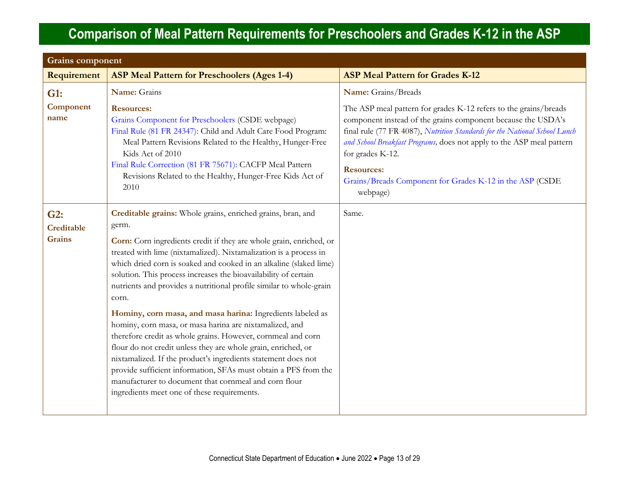| <b>Grains component</b>            |                                                                                                                                                                                                                                                                                                                                                                                                                                                                                                                                                                                                                                                                                                                                                                                                                                                                                                  |                                                                                                                                                                                                                                                                                                                                                                                                          |
|------------------------------------|--------------------------------------------------------------------------------------------------------------------------------------------------------------------------------------------------------------------------------------------------------------------------------------------------------------------------------------------------------------------------------------------------------------------------------------------------------------------------------------------------------------------------------------------------------------------------------------------------------------------------------------------------------------------------------------------------------------------------------------------------------------------------------------------------------------------------------------------------------------------------------------------------|----------------------------------------------------------------------------------------------------------------------------------------------------------------------------------------------------------------------------------------------------------------------------------------------------------------------------------------------------------------------------------------------------------|
| Requirement                        | <b>ASP Meal Pattern for Preschoolers (Ages 1-4)</b>                                                                                                                                                                                                                                                                                                                                                                                                                                                                                                                                                                                                                                                                                                                                                                                                                                              | <b>ASP Meal Pattern for Grades K-12</b>                                                                                                                                                                                                                                                                                                                                                                  |
| G1:                                | Name: Grains                                                                                                                                                                                                                                                                                                                                                                                                                                                                                                                                                                                                                                                                                                                                                                                                                                                                                     | Name: Grains/Breads                                                                                                                                                                                                                                                                                                                                                                                      |
| Component<br>name                  | <b>Resources:</b><br>Grains Component for Preschoolers (CSDE webpage)<br>Final Rule (81 FR 24347): Child and Adult Care Food Program:<br>Meal Pattern Revisions Related to the Healthy, Hunger-Free<br>Kids Act of 2010<br>Final Rule Correction (81 FR 75671): CACFP Meal Pattern<br>Revisions Related to the Healthy, Hunger-Free Kids Act of<br>2010                                                                                                                                                                                                                                                                                                                                                                                                                                                                                                                                          | The ASP meal pattern for grades K-12 refers to the grains/breads<br>component instead of the grains component because the USDA's<br>final rule (77 FR 4087), Nutrition Standards for the National School Lunch<br>and School Breakfast Programs, does not apply to the ASP meal pattern<br>for grades K-12.<br><b>Resources:</b><br>Grains/Breads Component for Grades K-12 in the ASP (CSDE<br>webpage) |
| G2:<br>Creditable<br><b>Grains</b> | Creditable grains: Whole grains, enriched grains, bran, and<br>germ.<br>Corn: Corn ingredients credit if they are whole grain, enriched, or<br>treated with lime (nixtamalized). Nixtamalization is a process in<br>which dried corn is soaked and cooked in an alkaline (slaked lime)<br>solution. This process increases the bioavailability of certain<br>nutrients and provides a nutritional profile similar to whole-grain<br>corn.<br>Hominy, corn masa, and masa harina: Ingredients labeled as<br>hominy, corn masa, or masa harina are nixtamalized, and<br>therefore credit as whole grains. However, cornmeal and corn<br>flour do not credit unless they are whole grain, enriched, or<br>nixtamalized. If the product's ingredients statement does not<br>provide sufficient information, SFAs must obtain a PFS from the<br>manufacturer to document that cornmeal and corn flour | Same.                                                                                                                                                                                                                                                                                                                                                                                                    |
|                                    | ingredients meet one of these requirements.                                                                                                                                                                                                                                                                                                                                                                                                                                                                                                                                                                                                                                                                                                                                                                                                                                                      |                                                                                                                                                                                                                                                                                                                                                                                                          |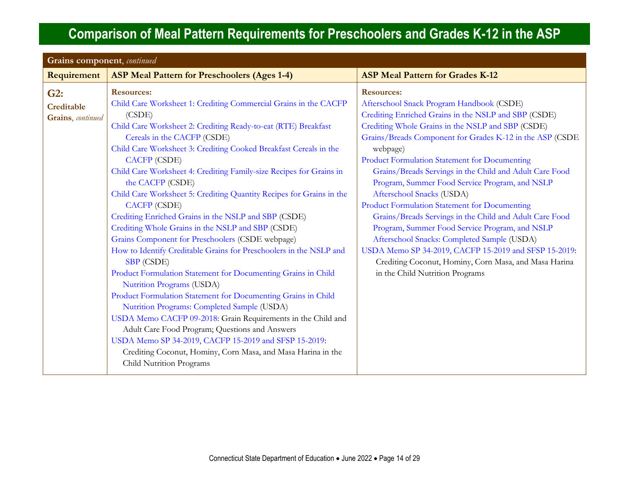| Grains component, continued            |                                                                                                                                                                                                                                                                                                                                                                                                                                                                                                                                                                                                                                                                                                                                                                                                                                                                                                                                                                                                                                                                                                                                                                                                                                         |                                                                                                                                                                                                                                                                                                                                                                                                                                                                                                                                                                                                                                                                                                                                                                                                                  |
|----------------------------------------|-----------------------------------------------------------------------------------------------------------------------------------------------------------------------------------------------------------------------------------------------------------------------------------------------------------------------------------------------------------------------------------------------------------------------------------------------------------------------------------------------------------------------------------------------------------------------------------------------------------------------------------------------------------------------------------------------------------------------------------------------------------------------------------------------------------------------------------------------------------------------------------------------------------------------------------------------------------------------------------------------------------------------------------------------------------------------------------------------------------------------------------------------------------------------------------------------------------------------------------------|------------------------------------------------------------------------------------------------------------------------------------------------------------------------------------------------------------------------------------------------------------------------------------------------------------------------------------------------------------------------------------------------------------------------------------------------------------------------------------------------------------------------------------------------------------------------------------------------------------------------------------------------------------------------------------------------------------------------------------------------------------------------------------------------------------------|
| Requirement                            | <b>ASP Meal Pattern for Preschoolers (Ages 1-4)</b>                                                                                                                                                                                                                                                                                                                                                                                                                                                                                                                                                                                                                                                                                                                                                                                                                                                                                                                                                                                                                                                                                                                                                                                     | <b>ASP Meal Pattern for Grades K-12</b>                                                                                                                                                                                                                                                                                                                                                                                                                                                                                                                                                                                                                                                                                                                                                                          |
| G2:<br>Creditable<br>Grains, continued | <b>Resources:</b><br>Child Care Worksheet 1: Crediting Commercial Grains in the CACFP<br>(CSDE)<br>Child Care Worksheet 2: Crediting Ready-to-eat (RTE) Breakfast<br>Cereals in the CACFP (CSDE)<br>Child Care Worksheet 3: Crediting Cooked Breakfast Cereals in the<br><b>CACFP</b> (CSDE)<br>Child Care Worksheet 4: Crediting Family-size Recipes for Grains in<br>the CACFP (CSDE)<br>Child Care Worksheet 5: Crediting Quantity Recipes for Grains in the<br><b>CACFP</b> (CSDE)<br>Crediting Enriched Grains in the NSLP and SBP (CSDE)<br>Crediting Whole Grains in the NSLP and SBP (CSDE)<br>Grains Component for Preschoolers (CSDE webpage)<br>How to Identify Creditable Grains for Preschoolers in the NSLP and<br><b>SBP</b> (CSDE)<br>Product Formulation Statement for Documenting Grains in Child<br>Nutrition Programs (USDA)<br>Product Formulation Statement for Documenting Grains in Child<br>Nutrition Programs: Completed Sample (USDA)<br>USDA Memo CACFP 09-2018: Grain Requirements in the Child and<br>Adult Care Food Program; Questions and Answers<br>USDA Memo SP 34-2019, CACFP 15-2019 and SFSP 15-2019:<br>Crediting Coconut, Hominy, Corn Masa, and Masa Harina in the<br>Child Nutrition Programs | <b>Resources:</b><br>Afterschool Snack Program Handbook (CSDE)<br>Crediting Enriched Grains in the NSLP and SBP (CSDE)<br>Crediting Whole Grains in the NSLP and SBP (CSDE)<br>Grains/Breads Component for Grades K-12 in the ASP (CSDE<br>webpage)<br>Product Formulation Statement for Documenting<br>Grains/Breads Servings in the Child and Adult Care Food<br>Program, Summer Food Service Program, and NSLP<br>Afterschool Snacks (USDA)<br>Product Formulation Statement for Documenting<br>Grains/Breads Servings in the Child and Adult Care Food<br>Program, Summer Food Service Program, and NSLP<br>Afterschool Snacks: Completed Sample (USDA)<br>USDA Memo SP 34-2019, CACFP 15-2019 and SFSP 15-2019:<br>Crediting Coconut, Hominy, Corn Masa, and Masa Harina<br>in the Child Nutrition Programs |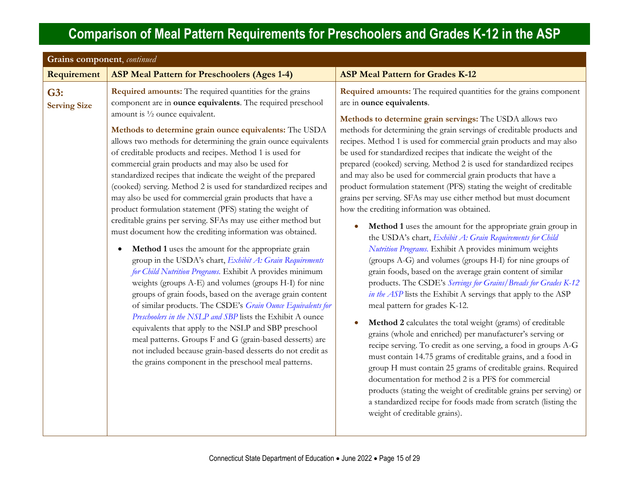| Grains component, continued |                                                                                                                                                                                                                                                                                                                                                                                                                                                                                                                                                                                                                                                                                                                                                                                                                                                                                                                                                                                                                                                                                                                                                                                                                                                                                                                                                                                                                                                                                                                |                                                                                                                                                                                                                                                                                                                                                                                                                                                                                                                                                                                                                                                                                                                                                                                                                                                                                                                                                                                                                                                                                                                                                                                                                                                                                                                                                                                                                                                                                                                                                                                                                                                                                                                                                                                    |  |
|-----------------------------|----------------------------------------------------------------------------------------------------------------------------------------------------------------------------------------------------------------------------------------------------------------------------------------------------------------------------------------------------------------------------------------------------------------------------------------------------------------------------------------------------------------------------------------------------------------------------------------------------------------------------------------------------------------------------------------------------------------------------------------------------------------------------------------------------------------------------------------------------------------------------------------------------------------------------------------------------------------------------------------------------------------------------------------------------------------------------------------------------------------------------------------------------------------------------------------------------------------------------------------------------------------------------------------------------------------------------------------------------------------------------------------------------------------------------------------------------------------------------------------------------------------|------------------------------------------------------------------------------------------------------------------------------------------------------------------------------------------------------------------------------------------------------------------------------------------------------------------------------------------------------------------------------------------------------------------------------------------------------------------------------------------------------------------------------------------------------------------------------------------------------------------------------------------------------------------------------------------------------------------------------------------------------------------------------------------------------------------------------------------------------------------------------------------------------------------------------------------------------------------------------------------------------------------------------------------------------------------------------------------------------------------------------------------------------------------------------------------------------------------------------------------------------------------------------------------------------------------------------------------------------------------------------------------------------------------------------------------------------------------------------------------------------------------------------------------------------------------------------------------------------------------------------------------------------------------------------------------------------------------------------------------------------------------------------------|--|
| Requirement                 | <b>ASP Meal Pattern for Preschoolers (Ages 1-4)</b>                                                                                                                                                                                                                                                                                                                                                                                                                                                                                                                                                                                                                                                                                                                                                                                                                                                                                                                                                                                                                                                                                                                                                                                                                                                                                                                                                                                                                                                            | <b>ASP Meal Pattern for Grades K-12</b>                                                                                                                                                                                                                                                                                                                                                                                                                                                                                                                                                                                                                                                                                                                                                                                                                                                                                                                                                                                                                                                                                                                                                                                                                                                                                                                                                                                                                                                                                                                                                                                                                                                                                                                                            |  |
| G3:<br><b>Serving Size</b>  | <b>Required amounts:</b> The required quantities for the grains<br>component are in ounce equivalents. The required preschool<br>amount is $\frac{1}{2}$ ounce equivalent.<br>Methods to determine grain ounce equivalents: The USDA<br>allows two methods for determining the grain ounce equivalents<br>of creditable products and recipes. Method 1 is used for<br>commercial grain products and may also be used for<br>standardized recipes that indicate the weight of the prepared<br>(cooked) serving. Method 2 is used for standardized recipes and<br>may also be used for commercial grain products that have a<br>product formulation statement (PFS) stating the weight of<br>creditable grains per serving. SFAs may use either method but<br>must document how the crediting information was obtained.<br>Method 1 uses the amount for the appropriate grain<br>$\bullet$<br>group in the USDA's chart, Exhibit A: Grain Requirements<br>for Child Nutrition Programs. Exhibit A provides minimum<br>weights (groups A-E) and volumes (groups H-I) for nine<br>groups of grain foods, based on the average grain content<br>of similar products. The CSDE's Grain Ounce Equivalents for<br>Preschoolers in the NSLP and SBP lists the Exhibit A ounce<br>equivalents that apply to the NSLP and SBP preschool<br>meal patterns. Groups F and G (grain-based desserts) are<br>not included because grain-based desserts do not credit as<br>the grains component in the preschool meal patterns. | Required amounts: The required quantities for the grains component<br>are in ounce equivalents.<br>Methods to determine grain servings: The USDA allows two<br>methods for determining the grain servings of creditable products and<br>recipes. Method 1 is used for commercial grain products and may also<br>be used for standardized recipes that indicate the weight of the<br>prepared (cooked) serving. Method 2 is used for standardized recipes<br>and may also be used for commercial grain products that have a<br>product formulation statement (PFS) stating the weight of creditable<br>grains per serving. SFAs may use either method but must document<br>how the crediting information was obtained.<br>Method 1 uses the amount for the appropriate grain group in<br>$\bullet$<br>the USDA's chart, Exhibit A: Grain Requirements for Child<br>Nutrition Programs. Exhibit A provides minimum weights<br>(groups A-G) and volumes (groups H-I) for nine groups of<br>grain foods, based on the average grain content of similar<br>products. The CSDE's Servings for Grains/Breads for Grades K-12<br>in the ASP lists the Exhibit A servings that apply to the ASP<br>meal pattern for grades K-12.<br>Method 2 calculates the total weight (grams) of creditable<br>grains (whole and enriched) per manufacturer's serving or<br>recipe serving. To credit as one serving, a food in groups A-G<br>must contain 14.75 grams of creditable grains, and a food in<br>group H must contain 25 grams of creditable grains. Required<br>documentation for method 2 is a PFS for commercial<br>products (stating the weight of creditable grains per serving) or<br>a standardized recipe for foods made from scratch (listing the<br>weight of creditable grains). |  |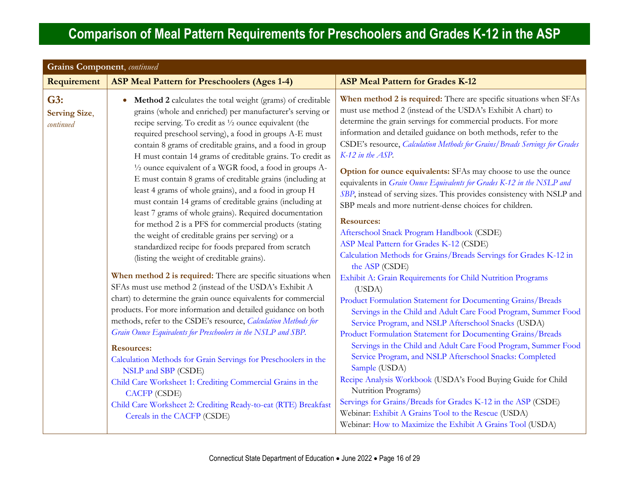| <b>Grains Component</b> , continued      |                                                                                                                                                                                                                                                                                                                                                                                                                                                                                                                                                                                                                                                                                                                                                                                                                                                                                                                                                                                                                                                                                                                                                                                                                                                                                                                                                                                                                                                                                                                                                                                                                     |                                                                                                                                                                                                                                                                                                                                                                                                                                                                                                                                                                                                                                                                                                                                                                                                                                                                                                                                                                                                                                                                                                                                                                                                                                                                                                                                                                                                                                                                                                                                                                                                                               |  |
|------------------------------------------|---------------------------------------------------------------------------------------------------------------------------------------------------------------------------------------------------------------------------------------------------------------------------------------------------------------------------------------------------------------------------------------------------------------------------------------------------------------------------------------------------------------------------------------------------------------------------------------------------------------------------------------------------------------------------------------------------------------------------------------------------------------------------------------------------------------------------------------------------------------------------------------------------------------------------------------------------------------------------------------------------------------------------------------------------------------------------------------------------------------------------------------------------------------------------------------------------------------------------------------------------------------------------------------------------------------------------------------------------------------------------------------------------------------------------------------------------------------------------------------------------------------------------------------------------------------------------------------------------------------------|-------------------------------------------------------------------------------------------------------------------------------------------------------------------------------------------------------------------------------------------------------------------------------------------------------------------------------------------------------------------------------------------------------------------------------------------------------------------------------------------------------------------------------------------------------------------------------------------------------------------------------------------------------------------------------------------------------------------------------------------------------------------------------------------------------------------------------------------------------------------------------------------------------------------------------------------------------------------------------------------------------------------------------------------------------------------------------------------------------------------------------------------------------------------------------------------------------------------------------------------------------------------------------------------------------------------------------------------------------------------------------------------------------------------------------------------------------------------------------------------------------------------------------------------------------------------------------------------------------------------------------|--|
| Requirement                              | <b>ASP Meal Pattern for Preschoolers (Ages 1-4)</b>                                                                                                                                                                                                                                                                                                                                                                                                                                                                                                                                                                                                                                                                                                                                                                                                                                                                                                                                                                                                                                                                                                                                                                                                                                                                                                                                                                                                                                                                                                                                                                 | <b>ASP Meal Pattern for Grades K-12</b>                                                                                                                                                                                                                                                                                                                                                                                                                                                                                                                                                                                                                                                                                                                                                                                                                                                                                                                                                                                                                                                                                                                                                                                                                                                                                                                                                                                                                                                                                                                                                                                       |  |
| G3:<br><b>Serving Size,</b><br>continued | Method 2 calculates the total weight (grams) of creditable<br>$\bullet$<br>grains (whole and enriched) per manufacturer's serving or<br>recipe serving. To credit as 1/2 ounce equivalent (the<br>required preschool serving), a food in groups A-E must<br>contain 8 grams of creditable grains, and a food in group<br>H must contain 14 grams of creditable grains. To credit as<br>1/2 ounce equivalent of a WGR food, a food in groups A-<br>E must contain 8 grams of creditable grains (including at<br>least 4 grams of whole grains), and a food in group H<br>must contain 14 grams of creditable grains (including at<br>least 7 grams of whole grains). Required documentation<br>for method 2 is a PFS for commercial products (stating<br>the weight of creditable grains per serving) or a<br>standardized recipe for foods prepared from scratch<br>(listing the weight of creditable grains).<br>When method 2 is required: There are specific situations when<br>SFAs must use method 2 (instead of the USDA's Exhibit A<br>chart) to determine the grain ounce equivalents for commercial<br>products. For more information and detailed guidance on both<br>methods, refer to the CSDE's resource, Calculation Methods for<br>Grain Ounce Equivalents for Preschoolers in the NSLP and SBP.<br><b>Resources:</b><br>Calculation Methods for Grain Servings for Preschoolers in the<br>NSLP and SBP (CSDE)<br>Child Care Worksheet 1: Crediting Commercial Grains in the<br><b>CACFP</b> (CSDE)<br>Child Care Worksheet 2: Crediting Ready-to-eat (RTE) Breakfast<br>Cereals in the CACFP (CSDE) | When method 2 is required: There are specific situations when SFAs<br>must use method 2 (instead of the USDA's Exhibit A chart) to<br>determine the grain servings for commercial products. For more<br>information and detailed guidance on both methods, refer to the<br>CSDE's resource, Calculation Methods for Grains/Breads Servings for Grades<br>K-12 in the ASP.<br>Option for ounce equivalents: SFAs may choose to use the ounce<br>equivalents in <i>Grain Ounce Equivalents for Grades K-12 in the NSLP and</i><br>SBP, instead of serving sizes. This provides consistency with NSLP and<br>SBP meals and more nutrient-dense choices for children.<br><b>Resources:</b><br>Afterschool Snack Program Handbook (CSDE)<br>ASP Meal Pattern for Grades K-12 (CSDE)<br>Calculation Methods for Grains/Breads Servings for Grades K-12 in<br>the ASP (CSDE)<br>Exhibit A: Grain Requirements for Child Nutrition Programs<br>(USDA)<br>Product Formulation Statement for Documenting Grains/Breads<br>Servings in the Child and Adult Care Food Program, Summer Food<br>Service Program, and NSLP Afterschool Snacks (USDA)<br>Product Formulation Statement for Documenting Grains/Breads<br>Servings in the Child and Adult Care Food Program, Summer Food<br>Service Program, and NSLP Afterschool Snacks: Completed<br>Sample (USDA)<br>Recipe Analysis Workbook (USDA's Food Buying Guide for Child<br>Nutrition Programs)<br>Servings for Grains/Breads for Grades K-12 in the ASP (CSDE)<br>Webinar: Exhibit A Grains Tool to the Rescue (USDA)<br>Webinar: How to Maximize the Exhibit A Grains Tool (USDA) |  |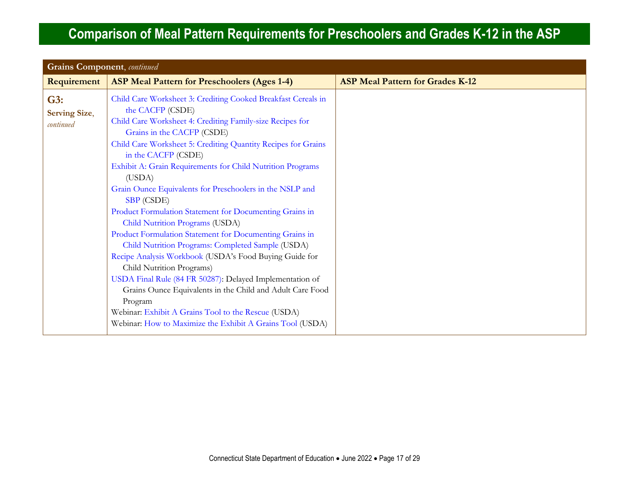| <b>Grains Component</b> , continued      |                                                                                                                                                                                                                                                                                                                                                                                                                                                                                                                                                                                                                                                                                                                                                                                                                                                                                                                                                                                            |                                         |
|------------------------------------------|--------------------------------------------------------------------------------------------------------------------------------------------------------------------------------------------------------------------------------------------------------------------------------------------------------------------------------------------------------------------------------------------------------------------------------------------------------------------------------------------------------------------------------------------------------------------------------------------------------------------------------------------------------------------------------------------------------------------------------------------------------------------------------------------------------------------------------------------------------------------------------------------------------------------------------------------------------------------------------------------|-----------------------------------------|
| Requirement                              | <b>ASP Meal Pattern for Preschoolers (Ages 1-4)</b>                                                                                                                                                                                                                                                                                                                                                                                                                                                                                                                                                                                                                                                                                                                                                                                                                                                                                                                                        | <b>ASP Meal Pattern for Grades K-12</b> |
| G3:<br><b>Serving Size,</b><br>continued | Child Care Worksheet 3: Crediting Cooked Breakfast Cereals in<br>the CACFP (CSDE)<br>Child Care Worksheet 4: Crediting Family-size Recipes for<br>Grains in the CACFP (CSDE)<br>Child Care Worksheet 5: Crediting Quantity Recipes for Grains<br>in the CACFP (CSDE)<br>Exhibit A: Grain Requirements for Child Nutrition Programs<br>(USDA)<br>Grain Ounce Equivalents for Preschoolers in the NSLP and<br><b>SBP</b> (CSDE)<br>Product Formulation Statement for Documenting Grains in<br>Child Nutrition Programs (USDA)<br>Product Formulation Statement for Documenting Grains in<br>Child Nutrition Programs: Completed Sample (USDA)<br>Recipe Analysis Workbook (USDA's Food Buying Guide for<br>Child Nutrition Programs)<br>USDA Final Rule (84 FR 50287): Delayed Implementation of<br>Grains Ounce Equivalents in the Child and Adult Care Food<br>Program<br>Webinar: Exhibit A Grains Tool to the Rescue (USDA)<br>Webinar: How to Maximize the Exhibit A Grains Tool (USDA) |                                         |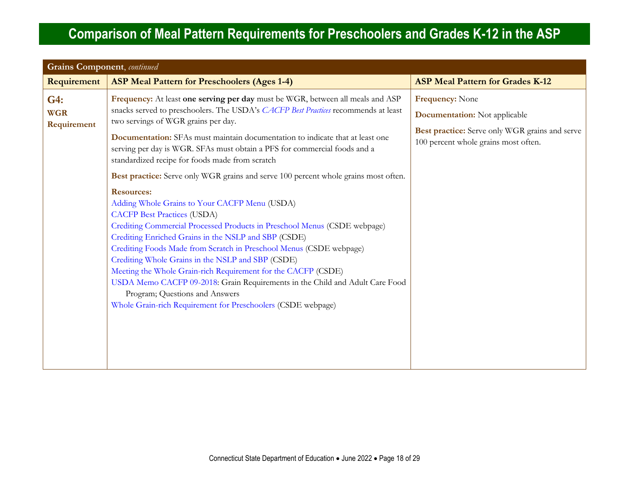<span id="page-17-0"></span>

| <b>Grains Component</b> , continued |                                                                                                                                                                                                                                                                                                                                                                                                                                                                                                                                                                                                                                                                                                                                                                                                                                                                                                                                                                                                                                                   |                                                                                                                                                          |  |  |
|-------------------------------------|---------------------------------------------------------------------------------------------------------------------------------------------------------------------------------------------------------------------------------------------------------------------------------------------------------------------------------------------------------------------------------------------------------------------------------------------------------------------------------------------------------------------------------------------------------------------------------------------------------------------------------------------------------------------------------------------------------------------------------------------------------------------------------------------------------------------------------------------------------------------------------------------------------------------------------------------------------------------------------------------------------------------------------------------------|----------------------------------------------------------------------------------------------------------------------------------------------------------|--|--|
| Requirement                         | <b>ASP Meal Pattern for Preschoolers (Ages 1-4)</b>                                                                                                                                                                                                                                                                                                                                                                                                                                                                                                                                                                                                                                                                                                                                                                                                                                                                                                                                                                                               | <b>ASP Meal Pattern for Grades K-12</b>                                                                                                                  |  |  |
| G4:<br><b>WGR</b><br>Requirement    | Frequency: At least one serving per day must be WGR, between all meals and ASP<br>snacks served to preschoolers. The USDA's CACFP Best Practices recommends at least<br>two servings of WGR grains per day.<br>Documentation: SFAs must maintain documentation to indicate that at least one<br>serving per day is WGR. SFAs must obtain a PFS for commercial foods and a<br>standardized recipe for foods made from scratch<br>Best practice: Serve only WGR grains and serve 100 percent whole grains most often.<br><b>Resources:</b><br>Adding Whole Grains to Your CACFP Menu (USDA)<br><b>CACFP Best Practices (USDA)</b><br>Crediting Commercial Processed Products in Preschool Menus (CSDE webpage)<br>Crediting Enriched Grains in the NSLP and SBP (CSDE)<br>Crediting Foods Made from Scratch in Preschool Menus (CSDE webpage)<br>Crediting Whole Grains in the NSLP and SBP (CSDE)<br>Meeting the Whole Grain-rich Requirement for the CACFP (CSDE)<br>USDA Memo CACFP 09-2018: Grain Requirements in the Child and Adult Care Food | <b>Frequency: None</b><br><b>Documentation:</b> Not applicable<br>Best practice: Serve only WGR grains and serve<br>100 percent whole grains most often. |  |  |
|                                     | Program; Questions and Answers<br>Whole Grain-rich Requirement for Preschoolers (CSDE webpage)                                                                                                                                                                                                                                                                                                                                                                                                                                                                                                                                                                                                                                                                                                                                                                                                                                                                                                                                                    |                                                                                                                                                          |  |  |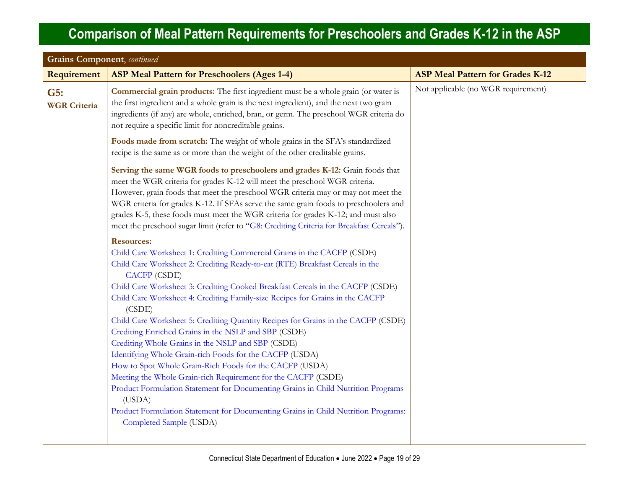| <b>Grains Component</b> , continued |                                                                                                                                                                                                                                                                                                                                                                                                                                                                                                                                                                                                                                                                                                                                                                                                                                                                                                                                                                                          |                                         |  |
|-------------------------------------|------------------------------------------------------------------------------------------------------------------------------------------------------------------------------------------------------------------------------------------------------------------------------------------------------------------------------------------------------------------------------------------------------------------------------------------------------------------------------------------------------------------------------------------------------------------------------------------------------------------------------------------------------------------------------------------------------------------------------------------------------------------------------------------------------------------------------------------------------------------------------------------------------------------------------------------------------------------------------------------|-----------------------------------------|--|
| <b>Requirement</b>                  | <b>ASP Meal Pattern for Preschoolers (Ages 1-4)</b>                                                                                                                                                                                                                                                                                                                                                                                                                                                                                                                                                                                                                                                                                                                                                                                                                                                                                                                                      | <b>ASP Meal Pattern for Grades K-12</b> |  |
| G5:<br><b>WGR Criteria</b>          | <b>Commercial grain products:</b> The first ingredient must be a whole grain (or water is<br>the first ingredient and a whole grain is the next ingredient), and the next two grain<br>ingredients (if any) are whole, enriched, bran, or germ. The preschool WGR criteria do<br>not require a specific limit for noncreditable grains.                                                                                                                                                                                                                                                                                                                                                                                                                                                                                                                                                                                                                                                  | Not applicable (no WGR requirement)     |  |
|                                     | Foods made from scratch: The weight of whole grains in the SFA's standardized<br>recipe is the same as or more than the weight of the other creditable grains.                                                                                                                                                                                                                                                                                                                                                                                                                                                                                                                                                                                                                                                                                                                                                                                                                           |                                         |  |
|                                     | Serving the same WGR foods to preschoolers and grades K-12: Grain foods that<br>meet the WGR criteria for grades K-12 will meet the preschool WGR criteria.<br>However, grain foods that meet the preschool WGR criteria may or may not meet the<br>WGR criteria for grades K-12. If SFAs serve the same grain foods to preschoolers and<br>grades K-5, these foods must meet the WGR criteria for grades K-12; and must also<br>meet the preschool sugar limit (refer to "G8: Crediting Criteria for Breakfast Cereals").                                                                                                                                                                                                                                                                                                                                                                                                                                                               |                                         |  |
|                                     | <b>Resources:</b><br>Child Care Worksheet 1: Crediting Commercial Grains in the CACFP (CSDE)<br>Child Care Worksheet 2: Crediting Ready-to-eat (RTE) Breakfast Cereals in the<br><b>CACFP</b> (CSDE)<br>Child Care Worksheet 3: Crediting Cooked Breakfast Cereals in the CACFP (CSDE)<br>Child Care Worksheet 4: Crediting Family-size Recipes for Grains in the CACFP<br>(CSDE)<br>Child Care Worksheet 5: Crediting Quantity Recipes for Grains in the CACFP (CSDE)<br>Crediting Enriched Grains in the NSLP and SBP (CSDE)<br>Crediting Whole Grains in the NSLP and SBP (CSDE)<br>Identifying Whole Grain-rich Foods for the CACFP (USDA)<br>How to Spot Whole Grain-Rich Foods for the CACFP (USDA)<br>Meeting the Whole Grain-rich Requirement for the CACFP (CSDE)<br>Product Formulation Statement for Documenting Grains in Child Nutrition Programs<br>(USDA)<br>Product Formulation Statement for Documenting Grains in Child Nutrition Programs:<br>Completed Sample (USDA) |                                         |  |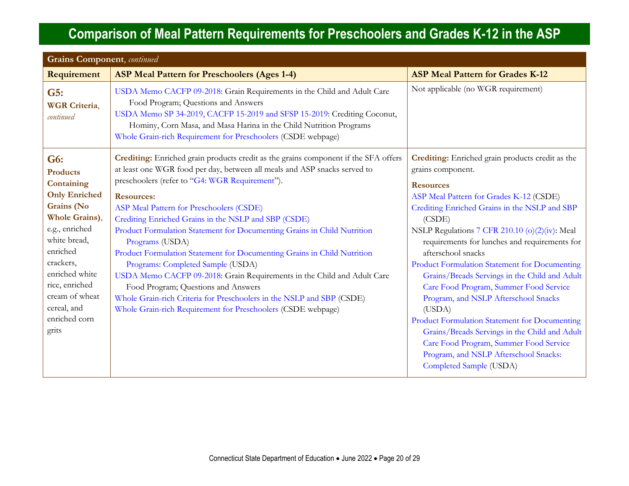| <b>Grains Component</b> , continued                                                                                                                                                                                                                    |                                                                                                                                                                                                                                                                                                                                                                                                                                                                                                                                                                                                                                                                                                                                                                                                                      |                                                                                                                                                                                                                                                                                                                                                                                                                                                                                                                                                                                                                                                                                                                                        |  |
|--------------------------------------------------------------------------------------------------------------------------------------------------------------------------------------------------------------------------------------------------------|----------------------------------------------------------------------------------------------------------------------------------------------------------------------------------------------------------------------------------------------------------------------------------------------------------------------------------------------------------------------------------------------------------------------------------------------------------------------------------------------------------------------------------------------------------------------------------------------------------------------------------------------------------------------------------------------------------------------------------------------------------------------------------------------------------------------|----------------------------------------------------------------------------------------------------------------------------------------------------------------------------------------------------------------------------------------------------------------------------------------------------------------------------------------------------------------------------------------------------------------------------------------------------------------------------------------------------------------------------------------------------------------------------------------------------------------------------------------------------------------------------------------------------------------------------------------|--|
| Requirement                                                                                                                                                                                                                                            | <b>ASP Meal Pattern for Preschoolers (Ages 1-4)</b>                                                                                                                                                                                                                                                                                                                                                                                                                                                                                                                                                                                                                                                                                                                                                                  | <b>ASP Meal Pattern for Grades K-12</b>                                                                                                                                                                                                                                                                                                                                                                                                                                                                                                                                                                                                                                                                                                |  |
| G5:<br><b>WGR</b> Criteria,<br>continued                                                                                                                                                                                                               | USDA Memo CACFP 09-2018: Grain Requirements in the Child and Adult Care<br>Food Program; Questions and Answers<br>USDA Memo SP 34-2019, CACFP 15-2019 and SFSP 15-2019: Crediting Coconut,<br>Hominy, Corn Masa, and Masa Harina in the Child Nutrition Programs<br>Whole Grain-rich Requirement for Preschoolers (CSDE webpage)                                                                                                                                                                                                                                                                                                                                                                                                                                                                                     | Not applicable (no WGR requirement)                                                                                                                                                                                                                                                                                                                                                                                                                                                                                                                                                                                                                                                                                                    |  |
| G6:<br><b>Products</b><br>Containing<br><b>Only Enriched</b><br>Grains (No<br>Whole Grains),<br>e.g., enriched<br>white bread,<br>enriched<br>crackers,<br>enriched white<br>rice, enriched<br>cream of wheat<br>cereal, and<br>enriched corn<br>grits | Crediting: Enriched grain products credit as the grains component if the SFA offers<br>at least one WGR food per day, between all meals and ASP snacks served to<br>preschoolers (refer to "G4: WGR Requirement").<br><b>Resources:</b><br>ASP Meal Pattern for Preschoolers (CSDE)<br>Crediting Enriched Grains in the NSLP and SBP (CSDE)<br>Product Formulation Statement for Documenting Grains in Child Nutrition<br>Programs (USDA)<br>Product Formulation Statement for Documenting Grains in Child Nutrition<br>Programs: Completed Sample (USDA)<br>USDA Memo CACFP 09-2018: Grain Requirements in the Child and Adult Care<br>Food Program; Questions and Answers<br>Whole Grain-rich Criteria for Preschoolers in the NSLP and SBP (CSDE)<br>Whole Grain-rich Requirement for Preschoolers (CSDE webpage) | Crediting: Enriched grain products credit as the<br>grains component.<br><b>Resources</b><br>ASP Meal Pattern for Grades K-12 (CSDE)<br>Crediting Enriched Grains in the NSLP and SBP<br>(CSDE)<br>NSLP Regulations 7 CFR 210.10 (o)(2)(iv): Meal<br>requirements for lunches and requirements for<br>afterschool snacks<br>Product Formulation Statement for Documenting<br>Grains/Breads Servings in the Child and Adult<br>Care Food Program, Summer Food Service<br>Program, and NSLP Afterschool Snacks<br>(USDA)<br>Product Formulation Statement for Documenting<br>Grains/Breads Servings in the Child and Adult<br>Care Food Program, Summer Food Service<br>Program, and NSLP Afterschool Snacks:<br>Completed Sample (USDA) |  |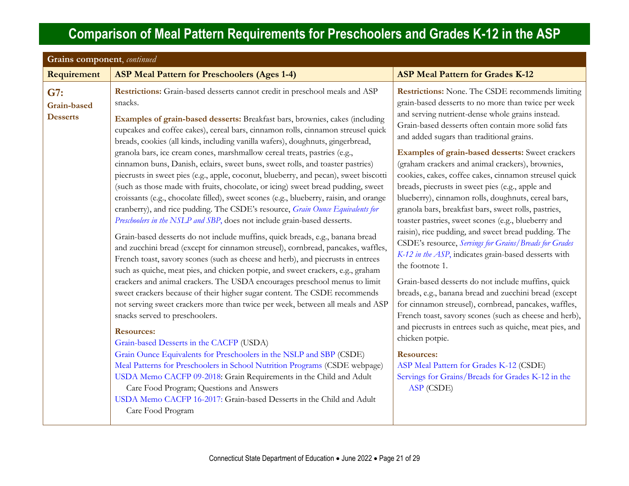<span id="page-20-0"></span>

| Grains component, continued           |                                                                                                                                                                                                                                                                                                                                                                                                                                                                                                                                                                                                                                                                                                                                                                                                                                                                                                                                                                                                                                                                                                                                                                                                                                                                                                                                                                                                                                                                                                                                                                                                                                                                                                                                                                                                                                                                                                                                                                                                                |                                                                                                                                                                                                                                                                                                                                                                                                                                                                                                                                                                                                                                                                                                                                                                                                                                                                                                                                                                                                                                                                                                                                                                                                                                                                                                                        |  |
|---------------------------------------|----------------------------------------------------------------------------------------------------------------------------------------------------------------------------------------------------------------------------------------------------------------------------------------------------------------------------------------------------------------------------------------------------------------------------------------------------------------------------------------------------------------------------------------------------------------------------------------------------------------------------------------------------------------------------------------------------------------------------------------------------------------------------------------------------------------------------------------------------------------------------------------------------------------------------------------------------------------------------------------------------------------------------------------------------------------------------------------------------------------------------------------------------------------------------------------------------------------------------------------------------------------------------------------------------------------------------------------------------------------------------------------------------------------------------------------------------------------------------------------------------------------------------------------------------------------------------------------------------------------------------------------------------------------------------------------------------------------------------------------------------------------------------------------------------------------------------------------------------------------------------------------------------------------------------------------------------------------------------------------------------------------|------------------------------------------------------------------------------------------------------------------------------------------------------------------------------------------------------------------------------------------------------------------------------------------------------------------------------------------------------------------------------------------------------------------------------------------------------------------------------------------------------------------------------------------------------------------------------------------------------------------------------------------------------------------------------------------------------------------------------------------------------------------------------------------------------------------------------------------------------------------------------------------------------------------------------------------------------------------------------------------------------------------------------------------------------------------------------------------------------------------------------------------------------------------------------------------------------------------------------------------------------------------------------------------------------------------------|--|
| Requirement                           | <b>ASP Meal Pattern for Preschoolers (Ages 1-4)</b>                                                                                                                                                                                                                                                                                                                                                                                                                                                                                                                                                                                                                                                                                                                                                                                                                                                                                                                                                                                                                                                                                                                                                                                                                                                                                                                                                                                                                                                                                                                                                                                                                                                                                                                                                                                                                                                                                                                                                            | <b>ASP Meal Pattern for Grades K-12</b>                                                                                                                                                                                                                                                                                                                                                                                                                                                                                                                                                                                                                                                                                                                                                                                                                                                                                                                                                                                                                                                                                                                                                                                                                                                                                |  |
| G7:<br>Grain-based<br><b>Desserts</b> | Restrictions: Grain-based desserts cannot credit in preschool meals and ASP<br>snacks.<br>Examples of grain-based desserts: Breakfast bars, brownies, cakes (including<br>cupcakes and coffee cakes), cereal bars, cinnamon rolls, cinnamon streusel quick<br>breads, cookies (all kinds, including vanilla wafers), doughnuts, gingerbread,<br>granola bars, ice cream cones, marshmallow cereal treats, pastries (e.g.,<br>cinnamon buns, Danish, eclairs, sweet buns, sweet rolls, and toaster pastries)<br>piecrusts in sweet pies (e.g., apple, coconut, blueberry, and pecan), sweet biscotti<br>(such as those made with fruits, chocolate, or icing) sweet bread pudding, sweet<br>croissants (e.g., chocolate filled), sweet scones (e.g., blueberry, raisin, and orange<br>cranberry), and rice pudding. The CSDE's resource, Grain Ounce Equivalents for<br>Preschoolers in the NSLP and SBP, does not include grain-based desserts.<br>Grain-based desserts do not include muffins, quick breads, e.g., banana bread<br>and zucchini bread (except for cinnamon streusel), cornbread, pancakes, waffles,<br>French toast, savory scones (such as cheese and herb), and piecrusts in entrees<br>such as quiche, meat pies, and chicken potpie, and sweet crackers, e.g., graham<br>crackers and animal crackers. The USDA encourages preschool menus to limit<br>sweet crackers because of their higher sugar content. The CSDE recommends<br>not serving sweet crackers more than twice per week, between all meals and ASP<br>snacks served to preschoolers.<br><b>Resources:</b><br>Grain-based Desserts in the CACFP (USDA)<br>Grain Ounce Equivalents for Preschoolers in the NSLP and SBP (CSDE)<br>Meal Patterns for Preschoolers in School Nutrition Programs (CSDE webpage)<br>USDA Memo CACFP 09-2018: Grain Requirements in the Child and Adult<br>Care Food Program; Questions and Answers<br>USDA Memo CACFP 16-2017: Grain-based Desserts in the Child and Adult<br>Care Food Program | <b>Restrictions:</b> None. The CSDE recommends limiting<br>grain-based desserts to no more than twice per week<br>and serving nutrient-dense whole grains instead.<br>Grain-based desserts often contain more solid fats<br>and added sugars than traditional grains.<br><b>Examples of grain-based desserts:</b> Sweet crackers<br>(graham crackers and animal crackers), brownies,<br>cookies, cakes, coffee cakes, cinnamon streusel quick<br>breads, piecrusts in sweet pies (e.g., apple and<br>blueberry), cinnamon rolls, doughnuts, cereal bars,<br>granola bars, breakfast bars, sweet rolls, pastries,<br>toaster pastries, sweet scones (e.g., blueberry and<br>raisin), rice pudding, and sweet bread pudding. The<br>CSDE's resource, Servings for Grains/Breads for Grades<br>K-12 in the ASP, indicates grain-based desserts with<br>the footnote 1.<br>Grain-based desserts do not include muffins, quick<br>breads, e.g., banana bread and zucchini bread (except<br>for cinnamon streusel), cornbread, pancakes, waffles,<br>French toast, savory scones (such as cheese and herb),<br>and piecrusts in entrees such as quiche, meat pies, and<br>chicken potpie.<br><b>Resources:</b><br>ASP Meal Pattern for Grades K-12 (CSDE)<br>Servings for Grains/Breads for Grades K-12 in the<br>ASP (CSDE) |  |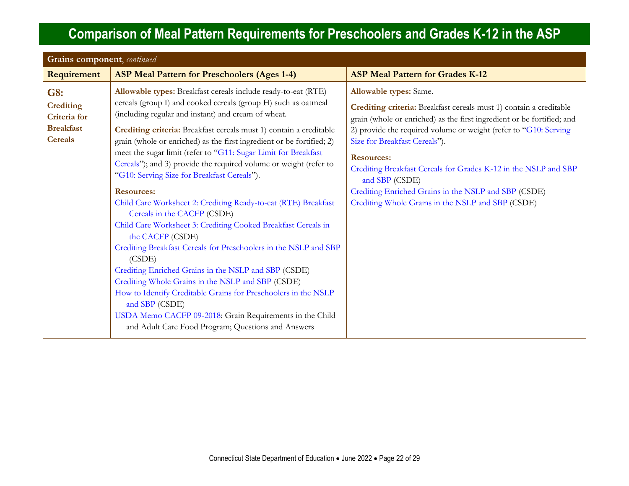<span id="page-21-0"></span>

| Grains component, continued                                                   |                                                                                                                                                                                                                                                                                                                                                                                                                                                                                                                                                                                                                                                                                                                                                                                                                                                                                                                                                                                                                                                                                                                                         |                                                                                                                                                                                                                                                                                                                                                                                                                                                                                                           |
|-------------------------------------------------------------------------------|-----------------------------------------------------------------------------------------------------------------------------------------------------------------------------------------------------------------------------------------------------------------------------------------------------------------------------------------------------------------------------------------------------------------------------------------------------------------------------------------------------------------------------------------------------------------------------------------------------------------------------------------------------------------------------------------------------------------------------------------------------------------------------------------------------------------------------------------------------------------------------------------------------------------------------------------------------------------------------------------------------------------------------------------------------------------------------------------------------------------------------------------|-----------------------------------------------------------------------------------------------------------------------------------------------------------------------------------------------------------------------------------------------------------------------------------------------------------------------------------------------------------------------------------------------------------------------------------------------------------------------------------------------------------|
| <b>Requirement</b>                                                            | <b>ASP Meal Pattern for Preschoolers (Ages 1-4)</b>                                                                                                                                                                                                                                                                                                                                                                                                                                                                                                                                                                                                                                                                                                                                                                                                                                                                                                                                                                                                                                                                                     | <b>ASP Meal Pattern for Grades K-12</b>                                                                                                                                                                                                                                                                                                                                                                                                                                                                   |
| G8:<br><b>Crediting</b><br>Criteria for<br><b>Breakfast</b><br><b>Cereals</b> | Allowable types: Breakfast cereals include ready-to-eat (RTE)<br>cereals (group I) and cooked cereals (group H) such as oatmeal<br>(including regular and instant) and cream of wheat.<br>Crediting criteria: Breakfast cereals must 1) contain a creditable<br>grain (whole or enriched) as the first ingredient or be fortified; 2)<br>meet the sugar limit (refer to "G11: Sugar Limit for Breakfast<br>Cereals"); and 3) provide the required volume or weight (refer to<br>"G10: Serving Size for Breakfast Cereals").<br><b>Resources:</b><br>Child Care Worksheet 2: Crediting Ready-to-eat (RTE) Breakfast<br>Cereals in the CACFP (CSDE)<br>Child Care Worksheet 3: Crediting Cooked Breakfast Cereals in<br>the CACFP (CSDE)<br>Crediting Breakfast Cereals for Preschoolers in the NSLP and SBP<br>(CSDE)<br>Crediting Enriched Grains in the NSLP and SBP (CSDE)<br>Crediting Whole Grains in the NSLP and SBP (CSDE)<br>How to Identify Creditable Grains for Preschoolers in the NSLP<br>and SBP (CSDE)<br>USDA Memo CACFP 09-2018: Grain Requirements in the Child<br>and Adult Care Food Program; Questions and Answers | <b>Allowable types:</b> Same.<br>Crediting criteria: Breakfast cereals must 1) contain a creditable<br>grain (whole or enriched) as the first ingredient or be fortified; and<br>2) provide the required volume or weight (refer to "G10: Serving<br>Size for Breakfast Cereals").<br><b>Resources:</b><br>Crediting Breakfast Cereals for Grades K-12 in the NSLP and SBP<br>and SBP (CSDE)<br>Crediting Enriched Grains in the NSLP and SBP (CSDE)<br>Crediting Whole Grains in the NSLP and SBP (CSDE) |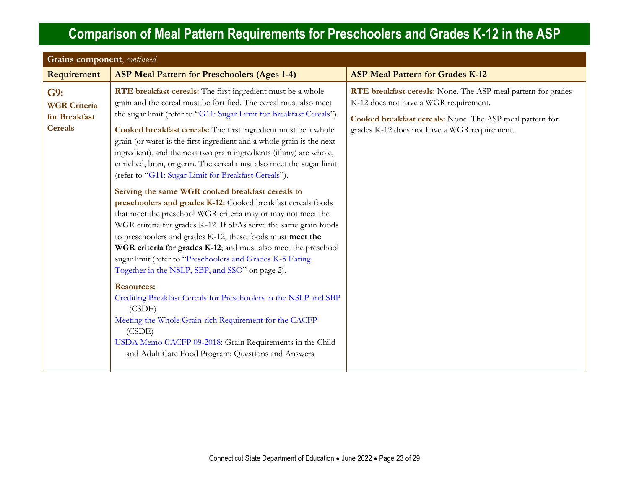| Grains component, continued                                   |                                                                                                                                                                                                                                                                                                                                                                                                                                                                                                                                                                                                                                                                                                                                                                                                                                                                                                                                                                                                                                                                                                                                                                                                                                                                                                                                                           |                                                                                                                                                                                                                   |
|---------------------------------------------------------------|-----------------------------------------------------------------------------------------------------------------------------------------------------------------------------------------------------------------------------------------------------------------------------------------------------------------------------------------------------------------------------------------------------------------------------------------------------------------------------------------------------------------------------------------------------------------------------------------------------------------------------------------------------------------------------------------------------------------------------------------------------------------------------------------------------------------------------------------------------------------------------------------------------------------------------------------------------------------------------------------------------------------------------------------------------------------------------------------------------------------------------------------------------------------------------------------------------------------------------------------------------------------------------------------------------------------------------------------------------------|-------------------------------------------------------------------------------------------------------------------------------------------------------------------------------------------------------------------|
| Requirement                                                   | <b>ASP Meal Pattern for Preschoolers (Ages 1-4)</b>                                                                                                                                                                                                                                                                                                                                                                                                                                                                                                                                                                                                                                                                                                                                                                                                                                                                                                                                                                                                                                                                                                                                                                                                                                                                                                       | <b>ASP Meal Pattern for Grades K-12</b>                                                                                                                                                                           |
| G9:<br><b>WGR Criteria</b><br>for Breakfast<br><b>Cereals</b> | RTE breakfast cereals: The first ingredient must be a whole<br>grain and the cereal must be fortified. The cereal must also meet<br>the sugar limit (refer to "G11: Sugar Limit for Breakfast Cereals").<br>Cooked breakfast cereals: The first ingredient must be a whole<br>grain (or water is the first ingredient and a whole grain is the next<br>ingredient), and the next two grain ingredients (if any) are whole,<br>enriched, bran, or germ. The cereal must also meet the sugar limit<br>(refer to "G11: Sugar Limit for Breakfast Cereals").<br>Serving the same WGR cooked breakfast cereals to<br>preschoolers and grades K-12: Cooked breakfast cereals foods<br>that meet the preschool WGR criteria may or may not meet the<br>WGR criteria for grades K-12. If SFAs serve the same grain foods<br>to preschoolers and grades K-12, these foods must meet the<br>WGR criteria for grades K-12; and must also meet the preschool<br>sugar limit (refer to "Preschoolers and Grades K-5 Eating<br>Together in the NSLP, SBP, and SSO" on page 2).<br><b>Resources:</b><br>Crediting Breakfast Cereals for Preschoolers in the NSLP and SBP<br>(CSDE)<br>Meeting the Whole Grain-rich Requirement for the CACFP<br>(CSDE)<br>USDA Memo CACFP 09-2018: Grain Requirements in the Child<br>and Adult Care Food Program; Questions and Answers | RTE breakfast cereals: None. The ASP meal pattern for grades<br>K-12 does not have a WGR requirement.<br>Cooked breakfast cereals: None. The ASP meal pattern for<br>grades K-12 does not have a WGR requirement. |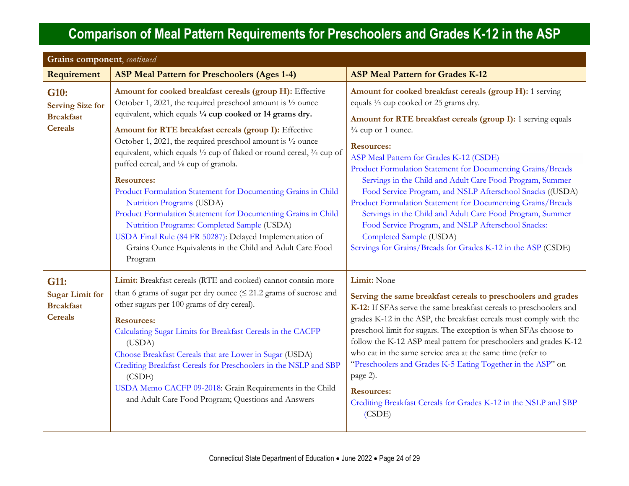<span id="page-23-1"></span><span id="page-23-0"></span>

| Grains component, continued                                           |                                                                                                                                                                                                                                                                                                                                                                                                                                                                                                                                                         |                                                                                                                                                                                                                                                                                                                                                                                                                                                                                                                                                                                                               |
|-----------------------------------------------------------------------|---------------------------------------------------------------------------------------------------------------------------------------------------------------------------------------------------------------------------------------------------------------------------------------------------------------------------------------------------------------------------------------------------------------------------------------------------------------------------------------------------------------------------------------------------------|---------------------------------------------------------------------------------------------------------------------------------------------------------------------------------------------------------------------------------------------------------------------------------------------------------------------------------------------------------------------------------------------------------------------------------------------------------------------------------------------------------------------------------------------------------------------------------------------------------------|
| Requirement                                                           | <b>ASP Meal Pattern for Preschoolers (Ages 1-4)</b>                                                                                                                                                                                                                                                                                                                                                                                                                                                                                                     | <b>ASP Meal Pattern for Grades K-12</b>                                                                                                                                                                                                                                                                                                                                                                                                                                                                                                                                                                       |
| G10:<br><b>Serving Size for</b><br><b>Breakfast</b><br><b>Cereals</b> | Amount for cooked breakfast cereals (group H): Effective<br>October 1, 2021, the required preschool amount is 1/2 ounce<br>equivalent, which equals 1/4 cup cooked or 14 grams dry.<br>Amount for RTE breakfast cereals (group I): Effective                                                                                                                                                                                                                                                                                                            | Amount for cooked breakfast cereals (group H): 1 serving<br>equals 1/2 cup cooked or 25 grams dry.<br>Amount for RTE breakfast cereals (group I): 1 serving equals<br>$\frac{3}{4}$ cup or 1 ounce.                                                                                                                                                                                                                                                                                                                                                                                                           |
|                                                                       | October 1, 2021, the required preschool amount is $\frac{1}{2}$ ounce<br>equivalent, which equals 1/2 cup of flaked or round cereal, 3/4 cup of<br>puffed cereal, and 1/8 cup of granola.<br><b>Resources:</b>                                                                                                                                                                                                                                                                                                                                          | <b>Resources:</b><br>ASP Meal Pattern for Grades K-12 (CSDE)<br>Product Formulation Statement for Documenting Grains/Breads                                                                                                                                                                                                                                                                                                                                                                                                                                                                                   |
|                                                                       | Product Formulation Statement for Documenting Grains in Child<br>Nutrition Programs (USDA)<br>Product Formulation Statement for Documenting Grains in Child<br>Nutrition Programs: Completed Sample (USDA)<br>USDA Final Rule (84 FR 50287): Delayed Implementation of<br>Grains Ounce Equivalents in the Child and Adult Care Food<br>Program                                                                                                                                                                                                          | Servings in the Child and Adult Care Food Program, Summer<br>Food Service Program, and NSLP Afterschool Snacks ((USDA)<br>Product Formulation Statement for Documenting Grains/Breads<br>Servings in the Child and Adult Care Food Program, Summer<br>Food Service Program, and NSLP Afterschool Snacks:<br>Completed Sample (USDA)<br>Servings for Grains/Breads for Grades K-12 in the ASP (CSDE)                                                                                                                                                                                                           |
| G11:<br><b>Sugar Limit for</b><br><b>Breakfast</b><br><b>Cereals</b>  | Limit: Breakfast cereals (RTE and cooked) cannot contain more<br>than 6 grams of sugar per dry ounce $( \leq 21.2 \text{ grams of sucrose and})$<br>other sugars per 100 grams of dry cereal).<br><b>Resources:</b><br>Calculating Sugar Limits for Breakfast Cereals in the CACFP<br>(USDA)<br>Choose Breakfast Cereals that are Lower in Sugar (USDA)<br>Crediting Breakfast Cereals for Preschoolers in the NSLP and SBP<br>(CSDE)<br>USDA Memo CACFP 09-2018: Grain Requirements in the Child<br>and Adult Care Food Program; Questions and Answers | Limit: None<br>Serving the same breakfast cereals to preschoolers and grades<br>K-12: If SFAs serve the same breakfast cereals to preschoolers and<br>grades K-12 in the ASP, the breakfast cereals must comply with the<br>preschool limit for sugars. The exception is when SFAs choose to<br>follow the K-12 ASP meal pattern for preschoolers and grades K-12<br>who eat in the same service area at the same time (refer to<br>"Preschoolers and Grades K-5 Eating Together in the ASP" on<br>page 2).<br><b>Resources:</b><br>Crediting Breakfast Cereals for Grades K-12 in the NSLP and SBP<br>(CSDE) |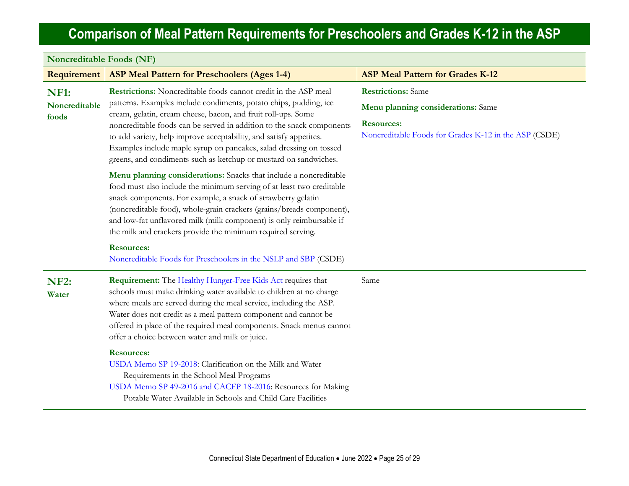r

| <b>Noncreditable Foods (NF)</b>       |                                                                                                                                                                                                                                                                                                                                                                                                                                                                                                                                                                                                                                                                                                                                                                                                                                                                                                                                                                                                                      |                                                                                                                                               |
|---------------------------------------|----------------------------------------------------------------------------------------------------------------------------------------------------------------------------------------------------------------------------------------------------------------------------------------------------------------------------------------------------------------------------------------------------------------------------------------------------------------------------------------------------------------------------------------------------------------------------------------------------------------------------------------------------------------------------------------------------------------------------------------------------------------------------------------------------------------------------------------------------------------------------------------------------------------------------------------------------------------------------------------------------------------------|-----------------------------------------------------------------------------------------------------------------------------------------------|
| Requirement                           | <b>ASP Meal Pattern for Preschoolers (Ages 1-4)</b>                                                                                                                                                                                                                                                                                                                                                                                                                                                                                                                                                                                                                                                                                                                                                                                                                                                                                                                                                                  | <b>ASP Meal Pattern for Grades K-12</b>                                                                                                       |
| <b>NF1:</b><br>Noncreditable<br>foods | Restrictions: Noncreditable foods cannot credit in the ASP meal<br>patterns. Examples include condiments, potato chips, pudding, ice<br>cream, gelatin, cream cheese, bacon, and fruit roll-ups. Some<br>noncreditable foods can be served in addition to the snack components<br>to add variety, help improve acceptability, and satisfy appetites.<br>Examples include maple syrup on pancakes, salad dressing on tossed<br>greens, and condiments such as ketchup or mustard on sandwiches.<br>Menu planning considerations: Snacks that include a noncreditable<br>food must also include the minimum serving of at least two creditable<br>snack components. For example, a snack of strawberry gelatin<br>(noncreditable food), whole-grain crackers (grains/breads component),<br>and low-fat unflavored milk (milk component) is only reimbursable if<br>the milk and crackers provide the minimum required serving.<br><b>Resources:</b><br>Noncreditable Foods for Preschoolers in the NSLP and SBP (CSDE) | <b>Restrictions:</b> Same<br>Menu planning considerations: Same<br><b>Resources:</b><br>Noncreditable Foods for Grades K-12 in the ASP (CSDE) |
| <b>NF2:</b><br>Water                  | Requirement: The Healthy Hunger-Free Kids Act requires that<br>schools must make drinking water available to children at no charge<br>where meals are served during the meal service, including the ASP.<br>Water does not credit as a meal pattern component and cannot be<br>offered in place of the required meal components. Snack menus cannot<br>offer a choice between water and milk or juice.<br><b>Resources:</b><br>USDA Memo SP 19-2018: Clarification on the Milk and Water<br>Requirements in the School Meal Programs<br>USDA Memo SP 49-2016 and CACFP 18-2016: Resources for Making<br>Potable Water Available in Schools and Child Care Facilities                                                                                                                                                                                                                                                                                                                                                 | Same                                                                                                                                          |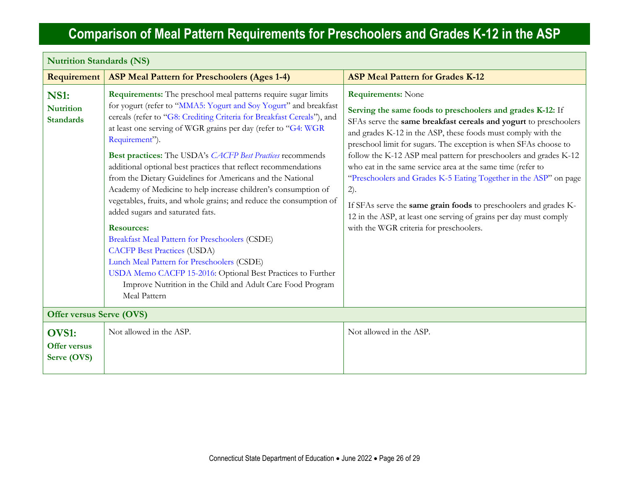| <b>Nutrition Standards (NS)</b>                     |                                                                                                                                                                                                                                                                                                                                                                                                                                                                                                                                                                                                                                                                                                                                                                                                                                                                                                                                                                                                          |                                                                                                                                                                                                                                                                                                                                                                                                                                                                                                                                                                                                                                                                                                    |  |
|-----------------------------------------------------|----------------------------------------------------------------------------------------------------------------------------------------------------------------------------------------------------------------------------------------------------------------------------------------------------------------------------------------------------------------------------------------------------------------------------------------------------------------------------------------------------------------------------------------------------------------------------------------------------------------------------------------------------------------------------------------------------------------------------------------------------------------------------------------------------------------------------------------------------------------------------------------------------------------------------------------------------------------------------------------------------------|----------------------------------------------------------------------------------------------------------------------------------------------------------------------------------------------------------------------------------------------------------------------------------------------------------------------------------------------------------------------------------------------------------------------------------------------------------------------------------------------------------------------------------------------------------------------------------------------------------------------------------------------------------------------------------------------------|--|
| Requirement                                         | <b>ASP Meal Pattern for Preschoolers (Ages 1-4)</b>                                                                                                                                                                                                                                                                                                                                                                                                                                                                                                                                                                                                                                                                                                                                                                                                                                                                                                                                                      | <b>ASP Meal Pattern for Grades K-12</b>                                                                                                                                                                                                                                                                                                                                                                                                                                                                                                                                                                                                                                                            |  |
| <b>NS1:</b><br><b>Nutrition</b><br><b>Standards</b> | <b>Requirements:</b> The preschool meal patterns require sugar limits<br>for yogurt (refer to "MMA5: Yogurt and Soy Yogurt" and breakfast<br>cereals (refer to "G8: Crediting Criteria for Breakfast Cereals"), and<br>at least one serving of WGR grains per day (refer to "G4: WGR<br>Requirement").<br><b>Best practices:</b> The USDA's <i>CACFP Best Practices</i> recommends<br>additional optional best practices that reflect recommendations<br>from the Dietary Guidelines for Americans and the National<br>Academy of Medicine to help increase children's consumption of<br>vegetables, fruits, and whole grains; and reduce the consumption of<br>added sugars and saturated fats.<br><b>Resources:</b><br>Breakfast Meal Pattern for Preschoolers (CSDE)<br><b>CACFP Best Practices (USDA)</b><br>Lunch Meal Pattern for Preschoolers (CSDE)<br>USDA Memo CACFP 15-2016: Optional Best Practices to Further<br>Improve Nutrition in the Child and Adult Care Food Program<br>Meal Pattern | <b>Requirements:</b> None<br>Serving the same foods to preschoolers and grades K-12: If<br>SFAs serve the same breakfast cereals and yogurt to preschoolers<br>and grades K-12 in the ASP, these foods must comply with the<br>preschool limit for sugars. The exception is when SFAs choose to<br>follow the K-12 ASP meal pattern for preschoolers and grades K-12<br>who eat in the same service area at the same time (refer to<br>"Preschoolers and Grades K-5 Eating Together in the ASP" on page<br>2).<br>If SFAs serve the same grain foods to preschoolers and grades K-<br>12 in the ASP, at least one serving of grains per day must comply<br>with the WGR criteria for preschoolers. |  |
| <b>Offer versus Serve (OVS)</b>                     |                                                                                                                                                                                                                                                                                                                                                                                                                                                                                                                                                                                                                                                                                                                                                                                                                                                                                                                                                                                                          |                                                                                                                                                                                                                                                                                                                                                                                                                                                                                                                                                                                                                                                                                                    |  |
| <b>OVS1:</b><br><b>Offer versus</b><br>Serve (OVS)  | Not allowed in the ASP.                                                                                                                                                                                                                                                                                                                                                                                                                                                                                                                                                                                                                                                                                                                                                                                                                                                                                                                                                                                  | Not allowed in the ASP.                                                                                                                                                                                                                                                                                                                                                                                                                                                                                                                                                                                                                                                                            |  |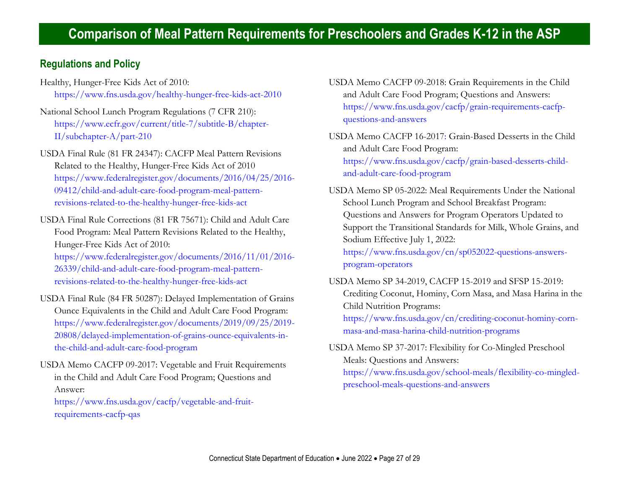#### **Regulations and Policy**

- Healthy, Hunger-Free Kids Act of 2010: <https://www.fns.usda.gov/healthy-hunger-free-kids-act-2010>
- National School Lunch Program Regulations (7 CFR 210): [https://www.ecfr.gov/current/title-7/subtitle-B/chapter-](https://www.ecfr.gov/current/title-7/subtitle-B/chapter-II/subchapter-A/part-210)[II/subchapter-A/part-210](https://www.ecfr.gov/current/title-7/subtitle-B/chapter-II/subchapter-A/part-210)
- USDA Final Rule (81 FR 24347): CACFP Meal Pattern Revisions Related to the Healthy, Hunger-Free Kids Act of 2010 [https://www.federalregister.gov/documents/2016/04/25/2016-](https://www.federalregister.gov/documents/2016/04/25/2016-09412/child-and-adult-care-food-program-meal-pattern-revisions-related-to-the-healthy-hunger-free-kids-act) [09412/child-and-adult-care-food-program-meal-pattern](https://www.federalregister.gov/documents/2016/04/25/2016-09412/child-and-adult-care-food-program-meal-pattern-revisions-related-to-the-healthy-hunger-free-kids-act)[revisions-related-to-the-healthy-hunger-free-kids-act](https://www.federalregister.gov/documents/2016/04/25/2016-09412/child-and-adult-care-food-program-meal-pattern-revisions-related-to-the-healthy-hunger-free-kids-act)
- USDA Final Rule Corrections (81 FR 75671): Child and Adult Care Food Program: Meal Pattern Revisions Related to the Healthy, Hunger-Free Kids Act of 2010: [https://www.federalregister.gov/documents/2016/11/01/2016-](https://www.federalregister.gov/documents/2016/11/01/2016-26339/child-and-adult-care-food-program-meal-pattern-revisions-related-to-the-healthy-hunger-free-kids-act) [26339/child-and-adult-care-food-program-meal-pattern](https://www.federalregister.gov/documents/2016/11/01/2016-26339/child-and-adult-care-food-program-meal-pattern-revisions-related-to-the-healthy-hunger-free-kids-act)
	- [revisions-related-to-the-healthy-hunger-free-kids-act](https://www.federalregister.gov/documents/2016/11/01/2016-26339/child-and-adult-care-food-program-meal-pattern-revisions-related-to-the-healthy-hunger-free-kids-act)
- USDA Final Rule (84 FR 50287): Delayed Implementation of Grains Ounce Equivalents in the Child and Adult Care Food Program: [https://www.federalregister.gov/documents/2019/09/25/2019-](https://www.federalregister.gov/documents/2019/09/25/2019-20808/delayed-implementation-of-grains-ounce-equivalents-in-the-child-and-adult-care-food-program) [20808/delayed-implementation-of-grains-ounce-equivalents-in](https://www.federalregister.gov/documents/2019/09/25/2019-20808/delayed-implementation-of-grains-ounce-equivalents-in-the-child-and-adult-care-food-program)[the-child-and-adult-care-food-program](https://www.federalregister.gov/documents/2019/09/25/2019-20808/delayed-implementation-of-grains-ounce-equivalents-in-the-child-and-adult-care-food-program)
- USDA Memo CACFP 09-2017: Vegetable and Fruit Requirements in the Child and Adult Care Food Program; Questions and Answer:

[https://www.fns.usda.gov/cacfp/vegetable-and-fruit](https://www.fns.usda.gov/cacfp/vegetable-and-fruit-requirements-cacfp-qas)[requirements-cacfp-qas](https://www.fns.usda.gov/cacfp/vegetable-and-fruit-requirements-cacfp-qas)

- USDA Memo CACFP 09-2018: Grain Requirements in the Child and Adult Care Food Program; Questions and Answers: [https://www.fns.usda.gov/cacfp/grain-requirements-cacfp](https://www.fns.usda.gov/cacfp/grain-requirements-cacfp-questions-and-answers)[questions-and-answers](https://www.fns.usda.gov/cacfp/grain-requirements-cacfp-questions-and-answers)
- USDA Memo CACFP 16-2017: Grain-Based Desserts in the Child and Adult Care Food Program: [https://www.fns.usda.gov/cacfp/grain-based-desserts-child](https://www.fns.usda.gov/cacfp/grain-based-desserts-child-and-adult-care-food-program)[and-adult-care-food-program](https://www.fns.usda.gov/cacfp/grain-based-desserts-child-and-adult-care-food-program)
- USDA Memo SP 05-2022: Meal Requirements Under the National School Lunch Program and School Breakfast Program: Questions and Answers for Program Operators Updated to Support the Transitional Standards for Milk, Whole Grains, and Sodium Effective July 1, 2022: [https://www.fns.usda.gov/cn/sp052022-questions-answers](https://www.fns.usda.gov/cn/sp052022-questions-answers-program-operators)[program-operators](https://www.fns.usda.gov/cn/sp052022-questions-answers-program-operators)
- USDA Memo SP 34-2019, CACFP 15-2019 and SFSP 15-2019: Crediting Coconut, Hominy, Corn Masa, and Masa Harina in the Child Nutrition Programs: [https://www.fns.usda.gov/cn/crediting-coconut-hominy-corn](https://www.fns.usda.gov/cn/crediting-coconut-hominy-corn-masa-and-masa-harina-child-nutrition-programs)[masa-and-masa-harina-child-nutrition-programs](https://www.fns.usda.gov/cn/crediting-coconut-hominy-corn-masa-and-masa-harina-child-nutrition-programs)
- USDA Memo SP 37-2017: Flexibility for Co-Mingled Preschool Meals: Questions and Answers:

[https://www.fns.usda.gov/school-meals/flexibility-co-mingled](https://www.fns.usda.gov/school-meals/flexibility-co-mingled-preschool-meals-questions-and-answers)[preschool-meals-questions-and-answers](https://www.fns.usda.gov/school-meals/flexibility-co-mingled-preschool-meals-questions-and-answers)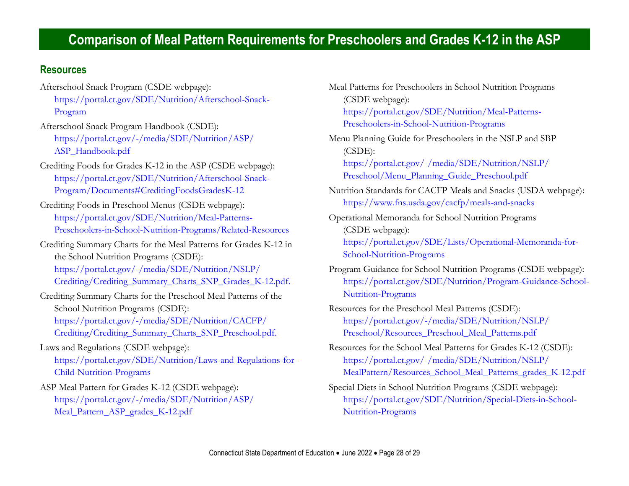#### **Resources**

- Afterschool Snack Program (CSDE webpage): [https://portal.ct.gov/SDE/Nutrition/Afterschool-Snack-](https://portal.ct.gov/SDE/Nutrition/Afterschool-Snack-Program)[Program](https://portal.ct.gov/SDE/Nutrition/Afterschool-Snack-Program)
- Afterschool Snack Program Handbook (CSDE): [https://portal.ct.gov/-/media/SDE/Nutrition/ASP/](https://portal.ct.gov/-/media/SDE/Nutrition/ASP/‌ASP_Handbook.pdf) [ASP\\_Handbook.pdf](https://portal.ct.gov/-/media/SDE/Nutrition/ASP/‌ASP_Handbook.pdf)
- Crediting Foods for Grades K-12 in the ASP (CSDE webpage): [https://portal.ct.gov/SDE/Nutrition/Afterschool-Snack-](https://portal.ct.gov/SDE/Nutrition/Afterschool-Snack-Program/Documents#CreditingFoodsGradesK-12)[Program/Documents#CreditingFoodsGradesK-12](https://portal.ct.gov/SDE/Nutrition/Afterschool-Snack-Program/Documents#CreditingFoodsGradesK-12)
- Crediting Foods in Preschool Menus (CSDE webpage): [https://portal.ct.gov/SDE/Nutrition/Meal-Patterns-](https://portal.ct.gov/SDE/Nutrition/Meal-Patterns-Preschoolers-in-School-Nutrition-Programs/Related-Resources)[Preschoolers-in-School-Nutrition-Programs/Related-Resources](https://portal.ct.gov/SDE/Nutrition/Meal-Patterns-Preschoolers-in-School-Nutrition-Programs/Related-Resources)
- Crediting Summary Charts for the Meal Patterns for Grades K-12 in the School Nutrition Programs (CSDE): [https://portal.ct.gov/-/media/SDE/Nutrition/NSLP/](https://portal.ct.gov/-/media/SDE/Nutrition/NSLP/Crediting/Crediting_Summary_‌Charts_SNP_Grades_K-12.pdf) [Crediting/Crediting\\_Summary\\_Charts\\_SNP\\_Grades\\_K-12.pdf.](https://portal.ct.gov/-/media/SDE/Nutrition/NSLP/Crediting/Crediting_Summary_‌Charts_SNP_Grades_K-12.pdf)
- Crediting Summary Charts for the Preschool Meal Patterns of the School Nutrition Programs (CSDE): [https://portal.ct.gov/-/media/SDE/Nutrition/CACFP/](https://portal.ct.gov/-/media/SDE/Nutrition/CACFP/‌Crediting/Crediting_Summary_Charts_SNP_Preschool.pdf) [Crediting/Crediting\\_Summary\\_Charts\\_SNP\\_Preschool.pdf.](https://portal.ct.gov/-/media/SDE/Nutrition/CACFP/‌Crediting/Crediting_Summary_Charts_SNP_Preschool.pdf)
- Laws and Regulations (CSDE webpage): [https://portal.ct.gov/SDE/Nutrition/Laws-and-Regulations-for-](https://portal.ct.gov/SDE/Nutrition/Laws-and-Regulations-for-Child-Nutrition-Programs)[Child-Nutrition-Programs](https://portal.ct.gov/SDE/Nutrition/Laws-and-Regulations-for-Child-Nutrition-Programs)
- ASP Meal Pattern for Grades K-12 (CSDE webpage): [https://portal.ct.gov/-/media/SDE/Nutrition/ASP/](https://portal.ct.gov/-/media/SDE/Nutrition/ASP/‌Meal_Pattern_ASP_grades_K-12.pdf) [Meal\\_Pattern\\_ASP\\_grades\\_K-12.pdf](https://portal.ct.gov/-/media/SDE/Nutrition/ASP/‌Meal_Pattern_ASP_grades_K-12.pdf)

Meal Patterns for Preschoolers in School Nutrition Programs (CSDE webpage): [https://portal.ct.gov/SDE/Nutrition/Meal-Patterns-](https://portal.ct.gov/SDE/Nutrition/Meal-Patterns-Preschoolers-in-School-Nutrition-Programs)[Preschoolers-in-School-Nutrition-Programs](https://portal.ct.gov/SDE/Nutrition/Meal-Patterns-Preschoolers-in-School-Nutrition-Programs)

Menu Planning Guide for Preschoolers in the NSLP and SBP (CSDE): [https://portal.ct.gov/-/media/SDE/Nutrition/NSLP/](https://portal.ct.gov/-/media/SDE/Nutrition/NSLP/Preschool/Menu_Planning_Guide_Preschool.pdf)

[Preschool/Menu\\_Planning\\_Guide\\_Preschool.pdf](https://portal.ct.gov/-/media/SDE/Nutrition/NSLP/Preschool/Menu_Planning_Guide_Preschool.pdf)

- Nutrition Standards for CACFP Meals and Snacks (USDA webpage): https://www.fns.usda.gov/cacfp/meals-and-snacks
- Operational Memoranda for School Nutrition Programs (CSDE webpage): [https://portal.ct.gov/SDE/Lists/Operational-Memoranda-for-](https://portal.ct.gov/SDE/Lists/Operational-Memoranda-for-School-Nutrition-Programs)[School-Nutrition-Programs](https://portal.ct.gov/SDE/Lists/Operational-Memoranda-for-School-Nutrition-Programs)
- Program Guidance for School Nutrition Programs (CSDE webpage): [https://portal.ct.gov/SDE/Nutrition/Program-Guidance-School-](https://portal.ct.gov/SDE/Nutrition/Program-Guidance-School-Nutrition-Programs)[Nutrition-Programs](https://portal.ct.gov/SDE/Nutrition/Program-Guidance-School-Nutrition-Programs)
- Resources for the Preschool Meal Patterns (CSDE): [https://portal.ct.gov/-/media/SDE/Nutrition/NSLP/](https://portal.ct.gov/-/media/SDE/Nutrition/NSLP/‌Preschool/Resources_Preschool_Meal_Patterns.pdf) [Preschool/Resources\\_Preschool\\_Meal\\_Patterns.pdf](https://portal.ct.gov/-/media/SDE/Nutrition/NSLP/‌Preschool/Resources_Preschool_Meal_Patterns.pdf)
- Resources for the School Meal Patterns for Grades K-12 (CSDE): [https://portal.ct.gov/-/media/SDE/Nutrition/NSLP/](https://portal.ct.gov/-/media/SDE/Nutrition/NSLP/MealPattern/ResourcesSchoolMealPatterns_gradesK-12.pdf) [MealPattern/Resources\\_School\\_Meal\\_Patterns\\_grades\\_K-12.pdf](https://portal.ct.gov/-/media/SDE/Nutrition/NSLP/MealPattern/ResourcesSchoolMealPatterns_gradesK-12.pdf)
- Special Diets in School Nutrition Programs (CSDE webpage): [https://portal.ct.gov/SDE/Nutrition/Special-Diets-in-School-](https://portal.ct.gov/SDE/Nutrition/Special-Diets-in-School-Nutrition-Programs)[Nutrition-Programs](https://portal.ct.gov/SDE/Nutrition/Special-Diets-in-School-Nutrition-Programs)